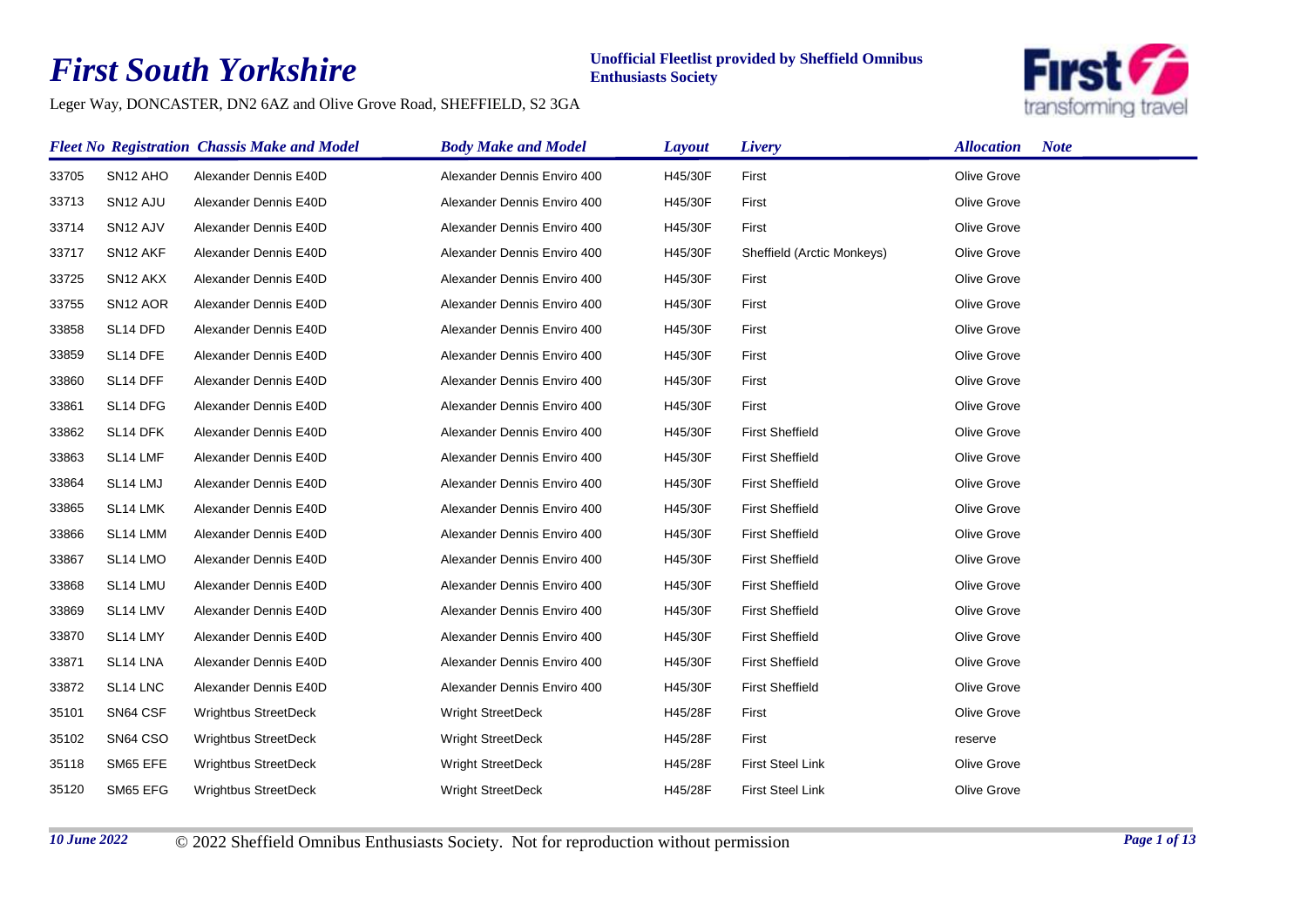## *First South Yorkshire*

## **Unofficial Fleetlist provided by Sheffield Omnibus Enthusiasts Society**

Leger Way, DONCASTER, DN2 6AZ and Olive Grove Road, SHEFFIELD, S2 3GA



|       |                      | <b>Fleet No Registration Chassis Make and Model</b> | <b>Body Make and Model</b>  | Layout  | Livery                     | <b>Allocation</b><br><b>Note</b> |
|-------|----------------------|-----------------------------------------------------|-----------------------------|---------|----------------------------|----------------------------------|
| 33705 | SN12 AHO             | Alexander Dennis E40D                               | Alexander Dennis Enviro 400 | H45/30F | First                      | Olive Grove                      |
| 33713 | SN <sub>12</sub> AJU | Alexander Dennis E40D                               | Alexander Dennis Enviro 400 | H45/30F | First                      | Olive Grove                      |
| 33714 | SN <sub>12</sub> AJV | Alexander Dennis E40D                               | Alexander Dennis Enviro 400 | H45/30F | First                      | Olive Grove                      |
| 33717 | SN <sub>12</sub> AKF | Alexander Dennis E40D                               | Alexander Dennis Enviro 400 | H45/30F | Sheffield (Arctic Monkeys) | Olive Grove                      |
| 33725 | SN <sub>12</sub> AKX | Alexander Dennis E40D                               | Alexander Dennis Enviro 400 | H45/30F | First                      | Olive Grove                      |
| 33755 | SN <sub>12</sub> AOR | Alexander Dennis E40D                               | Alexander Dennis Enviro 400 | H45/30F | First                      | Olive Grove                      |
| 33858 | SL14 DFD             | Alexander Dennis E40D                               | Alexander Dennis Enviro 400 | H45/30F | First                      | Olive Grove                      |
| 33859 | SL14 DFE             | Alexander Dennis E40D                               | Alexander Dennis Enviro 400 | H45/30F | First                      | Olive Grove                      |
| 33860 | SL14 DFF             | Alexander Dennis E40D                               | Alexander Dennis Enviro 400 | H45/30F | First                      | Olive Grove                      |
| 33861 | SL14 DFG             | Alexander Dennis E40D                               | Alexander Dennis Enviro 400 | H45/30F | First                      | Olive Grove                      |
| 33862 | SL14 DFK             | Alexander Dennis E40D                               | Alexander Dennis Enviro 400 | H45/30F | <b>First Sheffield</b>     | Olive Grove                      |
| 33863 | SL14 LMF             | Alexander Dennis E40D                               | Alexander Dennis Enviro 400 | H45/30F | <b>First Sheffield</b>     | Olive Grove                      |
| 33864 | SL14 LMJ             | Alexander Dennis E40D                               | Alexander Dennis Enviro 400 | H45/30F | <b>First Sheffield</b>     | Olive Grove                      |
| 33865 | SL14 LMK             | Alexander Dennis E40D                               | Alexander Dennis Enviro 400 | H45/30F | <b>First Sheffield</b>     | Olive Grove                      |
| 33866 | SL14 LMM             | Alexander Dennis E40D                               | Alexander Dennis Enviro 400 | H45/30F | <b>First Sheffield</b>     | Olive Grove                      |
| 33867 | SL14 LMO             | Alexander Dennis E40D                               | Alexander Dennis Enviro 400 | H45/30F | <b>First Sheffield</b>     | Olive Grove                      |
| 33868 | SL14 LMU             | Alexander Dennis E40D                               | Alexander Dennis Enviro 400 | H45/30F | <b>First Sheffield</b>     | Olive Grove                      |
| 33869 | SL14 LMV             | Alexander Dennis E40D                               | Alexander Dennis Enviro 400 | H45/30F | <b>First Sheffield</b>     | Olive Grove                      |
| 33870 | SL14 LMY             | Alexander Dennis E40D                               | Alexander Dennis Enviro 400 | H45/30F | <b>First Sheffield</b>     | Olive Grove                      |
| 33871 | SL14 LNA             | Alexander Dennis E40D                               | Alexander Dennis Enviro 400 | H45/30F | <b>First Sheffield</b>     | Olive Grove                      |
| 33872 | SL14 LNC             | Alexander Dennis E40D                               | Alexander Dennis Enviro 400 | H45/30F | <b>First Sheffield</b>     | Olive Grove                      |
| 35101 | SN64 CSF             | <b>Wrightbus StreetDeck</b>                         | <b>Wright StreetDeck</b>    | H45/28F | First                      | Olive Grove                      |
| 35102 | SN64 CSO             | Wrightbus StreetDeck                                | <b>Wright StreetDeck</b>    | H45/28F | First                      | reserve                          |
| 35118 | SM65 EFE             | <b>Wrightbus StreetDeck</b>                         | <b>Wright StreetDeck</b>    | H45/28F | <b>First Steel Link</b>    | Olive Grove                      |
| 35120 | SM65 EFG             | <b>Wrightbus StreetDeck</b>                         | Wright StreetDeck           | H45/28F | <b>First Steel Link</b>    | Olive Grove                      |

*10 June 2022* © 2022 Sheffield Omnibus Enthusiasts Society. Not for reproduction without permission *Page 1 of 13*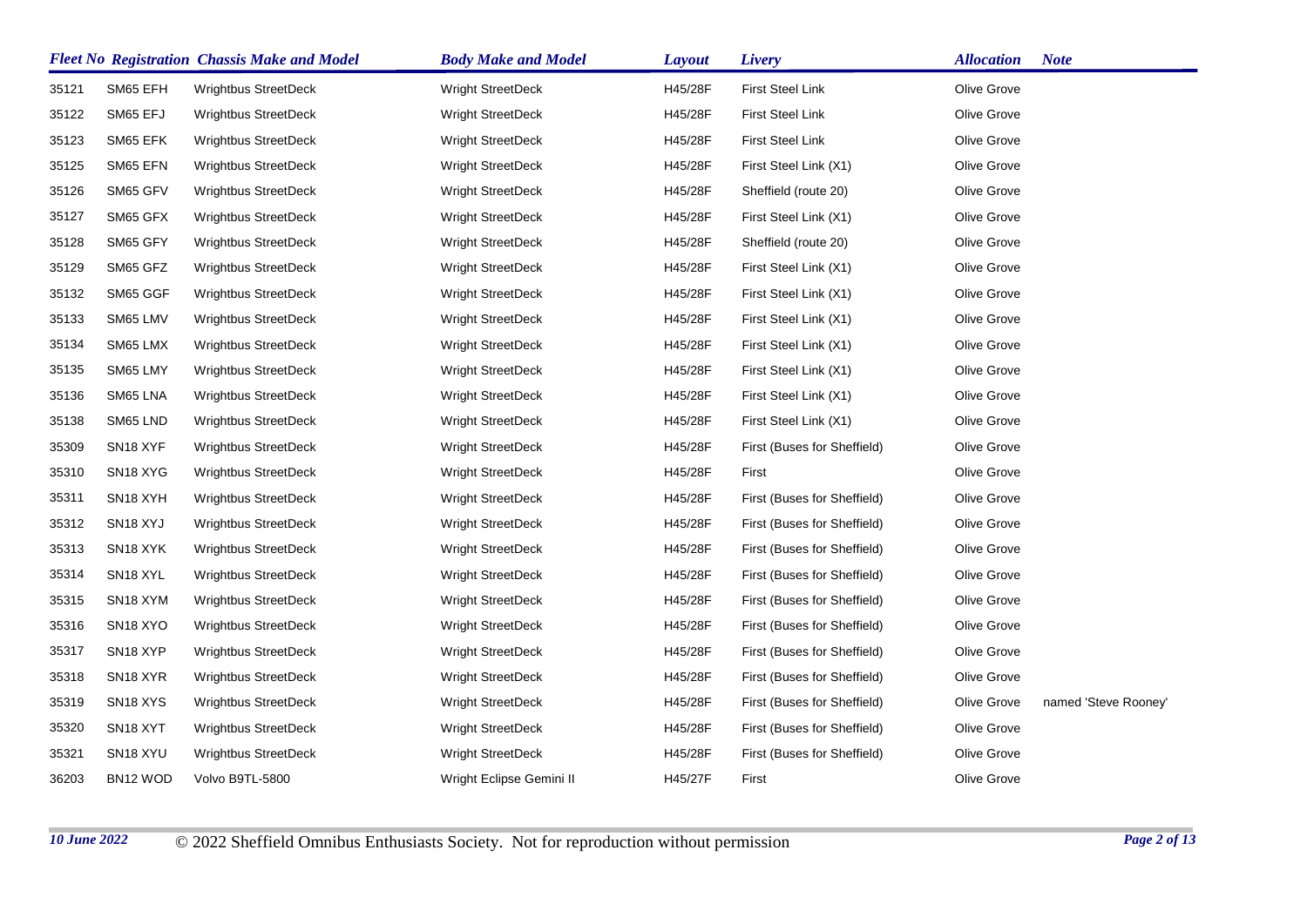|       |                                   | <b>Fleet No Registration Chassis Make and Model</b> | <b>Body Make and Model</b> | <b>Layout</b> | Livery                      | <b>Allocation</b> | <b>Note</b>          |
|-------|-----------------------------------|-----------------------------------------------------|----------------------------|---------------|-----------------------------|-------------------|----------------------|
| 35121 | SM65 EFH                          | <b>Wrightbus StreetDeck</b>                         | <b>Wright StreetDeck</b>   | H45/28F       | <b>First Steel Link</b>     | Olive Grove       |                      |
| 35122 | SM65 EFJ                          | Wrightbus StreetDeck                                | <b>Wright StreetDeck</b>   | H45/28F       | <b>First Steel Link</b>     | Olive Grove       |                      |
| 35123 | SM65 EFK                          | <b>Wrightbus StreetDeck</b>                         | <b>Wright StreetDeck</b>   | H45/28F       | <b>First Steel Link</b>     | Olive Grove       |                      |
| 35125 | SM65 EFN                          | <b>Wrightbus StreetDeck</b>                         | <b>Wright StreetDeck</b>   | H45/28F       | First Steel Link (X1)       | Olive Grove       |                      |
| 35126 | SM65 GFV                          | <b>Wrightbus StreetDeck</b>                         | <b>Wright StreetDeck</b>   | H45/28F       | Sheffield (route 20)        | Olive Grove       |                      |
| 35127 | SM65 GFX                          | <b>Wrightbus StreetDeck</b>                         | Wright StreetDeck          | H45/28F       | First Steel Link (X1)       | Olive Grove       |                      |
| 35128 | SM65 GFY                          | <b>Wrightbus StreetDeck</b>                         | <b>Wright StreetDeck</b>   | H45/28F       | Sheffield (route 20)        | Olive Grove       |                      |
| 35129 | SM65 GFZ                          | <b>Wrightbus StreetDeck</b>                         | <b>Wright StreetDeck</b>   | H45/28F       | First Steel Link (X1)       | Olive Grove       |                      |
| 35132 | SM65 GGF                          | <b>Wrightbus StreetDeck</b>                         | Wright StreetDeck          | H45/28F       | First Steel Link (X1)       | Olive Grove       |                      |
| 35133 | SM65 LMV                          | Wrightbus StreetDeck                                | <b>Wright StreetDeck</b>   | H45/28F       | First Steel Link (X1)       | Olive Grove       |                      |
| 35134 | SM65 LMX                          | <b>Wrightbus StreetDeck</b>                         | <b>Wright StreetDeck</b>   | H45/28F       | First Steel Link (X1)       | Olive Grove       |                      |
| 35135 | SM65 LMY                          | <b>Wrightbus StreetDeck</b>                         | <b>Wright StreetDeck</b>   | H45/28F       | First Steel Link (X1)       | Olive Grove       |                      |
| 35136 | SM65 LNA                          | <b>Wrightbus StreetDeck</b>                         | <b>Wright StreetDeck</b>   | H45/28F       | First Steel Link (X1)       | Olive Grove       |                      |
| 35138 | SM65 LND                          | <b>Wrightbus StreetDeck</b>                         | <b>Wright StreetDeck</b>   | H45/28F       | First Steel Link (X1)       | Olive Grove       |                      |
| 35309 | SN <sub>18</sub> XYF              | <b>Wrightbus StreetDeck</b>                         | <b>Wright StreetDeck</b>   | H45/28F       | First (Buses for Sheffield) | Olive Grove       |                      |
| 35310 | SN <sub>18</sub> XYG              | Wrightbus StreetDeck                                | Wright StreetDeck          | H45/28F       | First                       | Olive Grove       |                      |
| 35311 | SN <sub>18</sub> XYH              | <b>Wrightbus StreetDeck</b>                         | <b>Wright StreetDeck</b>   | H45/28F       | First (Buses for Sheffield) | Olive Grove       |                      |
| 35312 | SN <sub>18</sub> XYJ              | <b>Wrightbus StreetDeck</b>                         | <b>Wright StreetDeck</b>   | H45/28F       | First (Buses for Sheffield) | Olive Grove       |                      |
| 35313 | SN <sub>18</sub> XYK              | <b>Wrightbus StreetDeck</b>                         | <b>Wright StreetDeck</b>   | H45/28F       | First (Buses for Sheffield) | Olive Grove       |                      |
| 35314 | SN <sub>18</sub> XYL              | Wrightbus StreetDeck                                | Wright StreetDeck          | H45/28F       | First (Buses for Sheffield) | Olive Grove       |                      |
| 35315 | SN <sub>18</sub> XYM              | <b>Wrightbus StreetDeck</b>                         | <b>Wright StreetDeck</b>   | H45/28F       | First (Buses for Sheffield) | Olive Grove       |                      |
| 35316 | SN <sub>18</sub> XYO              | <b>Wrightbus StreetDeck</b>                         | Wright StreetDeck          | H45/28F       | First (Buses for Sheffield) | Olive Grove       |                      |
| 35317 | SN <sub>18</sub> XYP              | <b>Wrightbus StreetDeck</b>                         | <b>Wright StreetDeck</b>   | H45/28F       | First (Buses for Sheffield) | Olive Grove       |                      |
| 35318 | SN <sub>18</sub> X <sub>Y</sub> R | <b>Wrightbus StreetDeck</b>                         | Wright StreetDeck          | H45/28F       | First (Buses for Sheffield) | Olive Grove       |                      |
| 35319 | SN <sub>18</sub> XYS              | <b>Wrightbus StreetDeck</b>                         | <b>Wright StreetDeck</b>   | H45/28F       | First (Buses for Sheffield) | Olive Grove       | named 'Steve Rooney' |
| 35320 | SN <sub>18</sub> XYT              | <b>Wrightbus StreetDeck</b>                         | <b>Wright StreetDeck</b>   | H45/28F       | First (Buses for Sheffield) | Olive Grove       |                      |
| 35321 | SN <sub>18</sub> XYU              | <b>Wrightbus StreetDeck</b>                         | <b>Wright StreetDeck</b>   | H45/28F       | First (Buses for Sheffield) | Olive Grove       |                      |
| 36203 | BN12 WOD                          | Volvo B9TL-5800                                     | Wright Eclipse Gemini II   | H45/27F       | First                       | Olive Grove       |                      |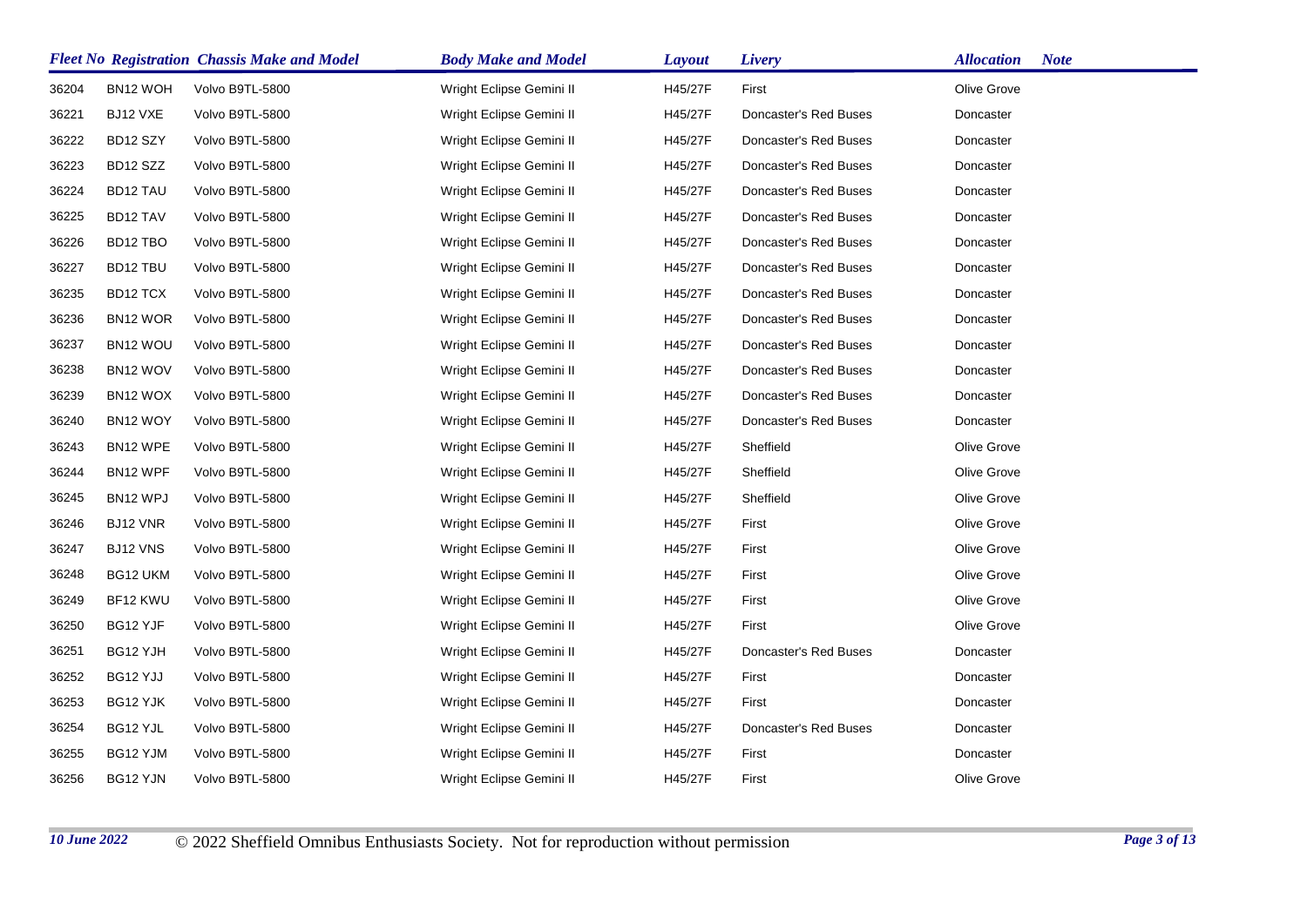|       |                 | <b>Fleet No Registration Chassis Make and Model</b> | <b>Body Make and Model</b> | <b>Layout</b> | Livery                | <b>Allocation</b> | <b>Note</b> |
|-------|-----------------|-----------------------------------------------------|----------------------------|---------------|-----------------------|-------------------|-------------|
| 36204 | BN12 WOH        | Volvo B9TL-5800                                     | Wright Eclipse Gemini II   | H45/27F       | First                 | Olive Grove       |             |
| 36221 | BJ12 VXE        | Volvo B9TL-5800                                     | Wright Eclipse Gemini II   | H45/27F       | Doncaster's Red Buses | Doncaster         |             |
| 36222 | BD12 SZY        | Volvo B9TL-5800                                     | Wright Eclipse Gemini II   | H45/27F       | Doncaster's Red Buses | Doncaster         |             |
| 36223 | BD12 SZZ        | Volvo B9TL-5800                                     | Wright Eclipse Gemini II   | H45/27F       | Doncaster's Red Buses | Doncaster         |             |
| 36224 | <b>BD12 TAU</b> | Volvo B9TL-5800                                     | Wright Eclipse Gemini II   | H45/27F       | Doncaster's Red Buses | Doncaster         |             |
| 36225 | BD12 TAV        | Volvo B9TL-5800                                     | Wright Eclipse Gemini II   | H45/27F       | Doncaster's Red Buses | Doncaster         |             |
| 36226 | BD12 TBO        | Volvo B9TL-5800                                     | Wright Eclipse Gemini II   | H45/27F       | Doncaster's Red Buses | Doncaster         |             |
| 36227 | BD12 TBU        | Volvo B9TL-5800                                     | Wright Eclipse Gemini II   | H45/27F       | Doncaster's Red Buses | Doncaster         |             |
| 36235 | BD12 TCX        | Volvo B9TL-5800                                     | Wright Eclipse Gemini II   | H45/27F       | Doncaster's Red Buses | Doncaster         |             |
| 36236 | BN12 WOR        | Volvo B9TL-5800                                     | Wright Eclipse Gemini II   | H45/27F       | Doncaster's Red Buses | Doncaster         |             |
| 36237 | BN12 WOU        | Volvo B9TL-5800                                     | Wright Eclipse Gemini II   | H45/27F       | Doncaster's Red Buses | Doncaster         |             |
| 36238 | BN12 WOV        | Volvo B9TL-5800                                     | Wright Eclipse Gemini II   | H45/27F       | Doncaster's Red Buses | Doncaster         |             |
| 36239 | BN12 WOX        | Volvo B9TL-5800                                     | Wright Eclipse Gemini II   | H45/27F       | Doncaster's Red Buses | Doncaster         |             |
| 36240 | BN12 WOY        | Volvo B9TL-5800                                     | Wright Eclipse Gemini II   | H45/27F       | Doncaster's Red Buses | Doncaster         |             |
| 36243 | BN12 WPE        | Volvo B9TL-5800                                     | Wright Eclipse Gemini II   | H45/27F       | Sheffield             | Olive Grove       |             |
| 36244 | BN12 WPF        | Volvo B9TL-5800                                     | Wright Eclipse Gemini II   | H45/27F       | Sheffield             | Olive Grove       |             |
| 36245 | BN12 WPJ        | Volvo B9TL-5800                                     | Wright Eclipse Gemini II   | H45/27F       | Sheffield             | Olive Grove       |             |
| 36246 | BJ12 VNR        | Volvo B9TL-5800                                     | Wright Eclipse Gemini II   | H45/27F       | First                 | Olive Grove       |             |
| 36247 | BJ12 VNS        | Volvo B9TL-5800                                     | Wright Eclipse Gemini II   | H45/27F       | First                 | Olive Grove       |             |
| 36248 | BG12 UKM        | Volvo B9TL-5800                                     | Wright Eclipse Gemini II   | H45/27F       | First                 | Olive Grove       |             |
| 36249 | BF12 KWU        | Volvo B9TL-5800                                     | Wright Eclipse Gemini II   | H45/27F       | First                 | Olive Grove       |             |
| 36250 | BG12 YJF        | Volvo B9TL-5800                                     | Wright Eclipse Gemini II   | H45/27F       | First                 | Olive Grove       |             |
| 36251 | BG12 YJH        | Volvo B9TL-5800                                     | Wright Eclipse Gemini II   | H45/27F       | Doncaster's Red Buses | Doncaster         |             |
| 36252 | BG12 YJJ        | Volvo B9TL-5800                                     | Wright Eclipse Gemini II   | H45/27F       | First                 | Doncaster         |             |
| 36253 | BG12 YJK        | Volvo B9TL-5800                                     | Wright Eclipse Gemini II   | H45/27F       | First                 | Doncaster         |             |
| 36254 | BG12 YJL        | Volvo B9TL-5800                                     | Wright Eclipse Gemini II   | H45/27F       | Doncaster's Red Buses | Doncaster         |             |
| 36255 | BG12 YJM        | Volvo B9TL-5800                                     | Wright Eclipse Gemini II   | H45/27F       | First                 | Doncaster         |             |
| 36256 | BG12 YJN        | Volvo B9TL-5800                                     | Wright Eclipse Gemini II   | H45/27F       | First                 | Olive Grove       |             |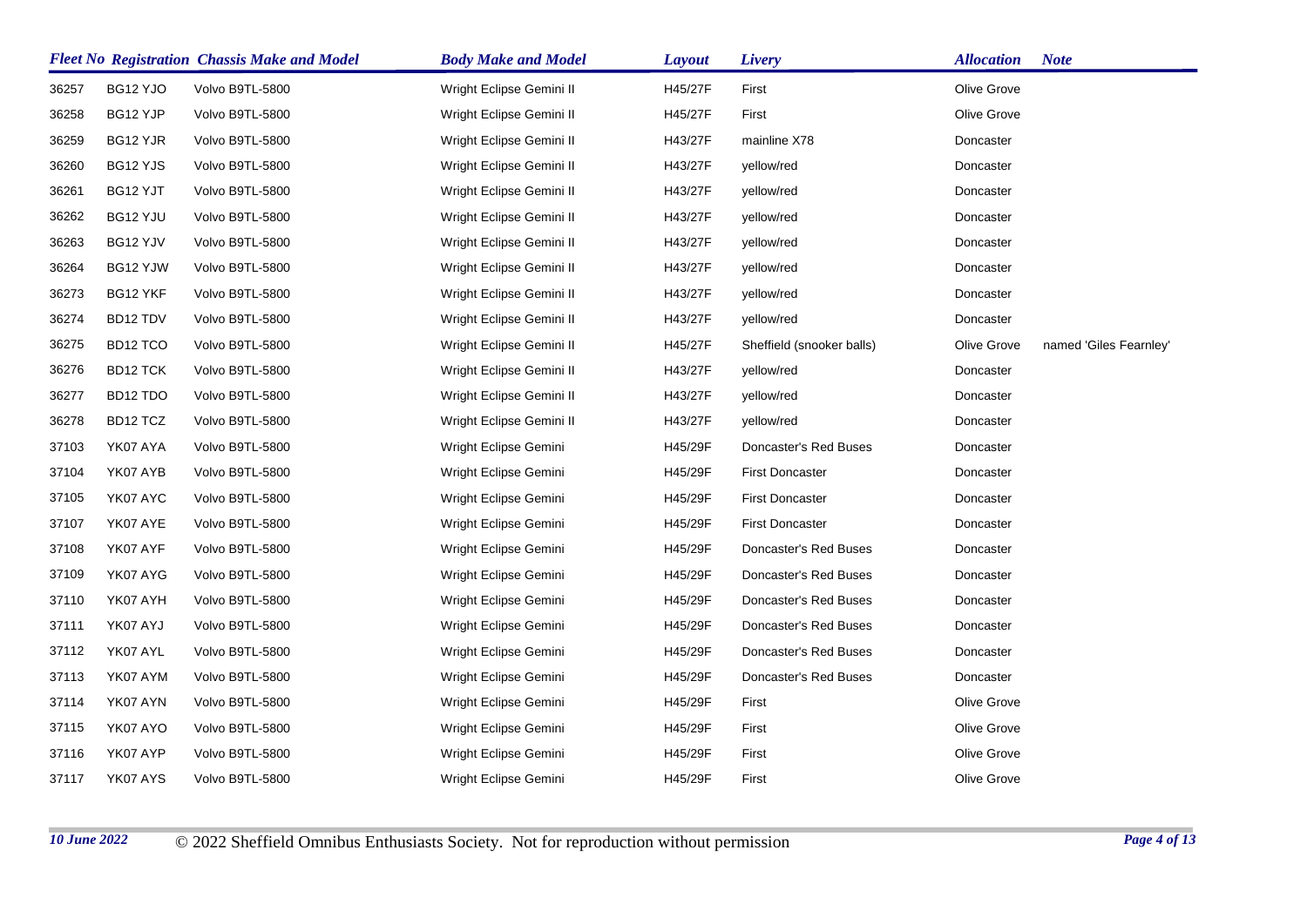|       |                      | <b>Fleet No Registration Chassis Make and Model</b> | <b>Body Make and Model</b> | <b>Layout</b> | Livery                    | <b>Allocation</b> | <b>Note</b>            |
|-------|----------------------|-----------------------------------------------------|----------------------------|---------------|---------------------------|-------------------|------------------------|
| 36257 | BG12 YJO             | Volvo B9TL-5800                                     | Wright Eclipse Gemini II   | H45/27F       | First                     | Olive Grove       |                        |
| 36258 | BG12 YJP             | Volvo B9TL-5800                                     | Wright Eclipse Gemini II   | H45/27F       | First                     | Olive Grove       |                        |
| 36259 | BG12 YJR             | Volvo B9TL-5800                                     | Wright Eclipse Gemini II   | H43/27F       | mainline X78              | Doncaster         |                        |
| 36260 | BG12 YJS             | Volvo B9TL-5800                                     | Wright Eclipse Gemini II   | H43/27F       | yellow/red                | Doncaster         |                        |
| 36261 | BG12 YJT             | Volvo B9TL-5800                                     | Wright Eclipse Gemini II   | H43/27F       | yellow/red                | Doncaster         |                        |
| 36262 | BG12 YJU             | Volvo B9TL-5800                                     | Wright Eclipse Gemini II   | H43/27F       | yellow/red                | Doncaster         |                        |
| 36263 | BG12 YJV             | Volvo B9TL-5800                                     | Wright Eclipse Gemini II   | H43/27F       | yellow/red                | Doncaster         |                        |
| 36264 | BG12 YJW             | Volvo B9TL-5800                                     | Wright Eclipse Gemini II   | H43/27F       | yellow/red                | Doncaster         |                        |
| 36273 | BG12 YKF             | Volvo B9TL-5800                                     | Wright Eclipse Gemini II   | H43/27F       | yellow/red                | Doncaster         |                        |
| 36274 | BD12 TDV             | Volvo B9TL-5800                                     | Wright Eclipse Gemini II   | H43/27F       | yellow/red                | Doncaster         |                        |
| 36275 | BD <sub>12</sub> TCO | Volvo B9TL-5800                                     | Wright Eclipse Gemini II   | H45/27F       | Sheffield (snooker balls) | Olive Grove       | named 'Giles Fearnley' |
| 36276 | BD12 TCK             | Volvo B9TL-5800                                     | Wright Eclipse Gemini II   | H43/27F       | yellow/red                | Doncaster         |                        |
| 36277 | BD12 TDO             | Volvo B9TL-5800                                     | Wright Eclipse Gemini II   | H43/27F       | yellow/red                | Doncaster         |                        |
| 36278 | BD12 TCZ             | Volvo B9TL-5800                                     | Wright Eclipse Gemini II   | H43/27F       | yellow/red                | Doncaster         |                        |
| 37103 | YK07 AYA             | Volvo B9TL-5800                                     | Wright Eclipse Gemini      | H45/29F       | Doncaster's Red Buses     | Doncaster         |                        |
| 37104 | YK07 AYB             | Volvo B9TL-5800                                     | Wright Eclipse Gemini      | H45/29F       | <b>First Doncaster</b>    | Doncaster         |                        |
| 37105 | YK07 AYC             | Volvo B9TL-5800                                     | Wright Eclipse Gemini      | H45/29F       | <b>First Doncaster</b>    | Doncaster         |                        |
| 37107 | YK07 AYE             | Volvo B9TL-5800                                     | Wright Eclipse Gemini      | H45/29F       | <b>First Doncaster</b>    | Doncaster         |                        |
| 37108 | YK07 AYF             | Volvo B9TL-5800                                     | Wright Eclipse Gemini      | H45/29F       | Doncaster's Red Buses     | Doncaster         |                        |
| 37109 | YK07 AYG             | Volvo B9TL-5800                                     | Wright Eclipse Gemini      | H45/29F       | Doncaster's Red Buses     | Doncaster         |                        |
| 37110 | YK07 AYH             | Volvo B9TL-5800                                     | Wright Eclipse Gemini      | H45/29F       | Doncaster's Red Buses     | Doncaster         |                        |
| 37111 | YK07 AYJ             | Volvo B9TL-5800                                     | Wright Eclipse Gemini      | H45/29F       | Doncaster's Red Buses     | Doncaster         |                        |
| 37112 | YK07 AYL             | Volvo B9TL-5800                                     | Wright Eclipse Gemini      | H45/29F       | Doncaster's Red Buses     | Doncaster         |                        |
| 37113 | YK07 AYM             | Volvo B9TL-5800                                     | Wright Eclipse Gemini      | H45/29F       | Doncaster's Red Buses     | Doncaster         |                        |
| 37114 | YK07 AYN             | Volvo B9TL-5800                                     | Wright Eclipse Gemini      | H45/29F       | First                     | Olive Grove       |                        |
| 37115 | YK07 AYO             | Volvo B9TL-5800                                     | Wright Eclipse Gemini      | H45/29F       | First                     | Olive Grove       |                        |
| 37116 | YK07 AYP             | Volvo B9TL-5800                                     | Wright Eclipse Gemini      | H45/29F       | First                     | Olive Grove       |                        |
| 37117 | YK07 AYS             | Volvo B9TL-5800                                     | Wright Eclipse Gemini      | H45/29F       | First                     | Olive Grove       |                        |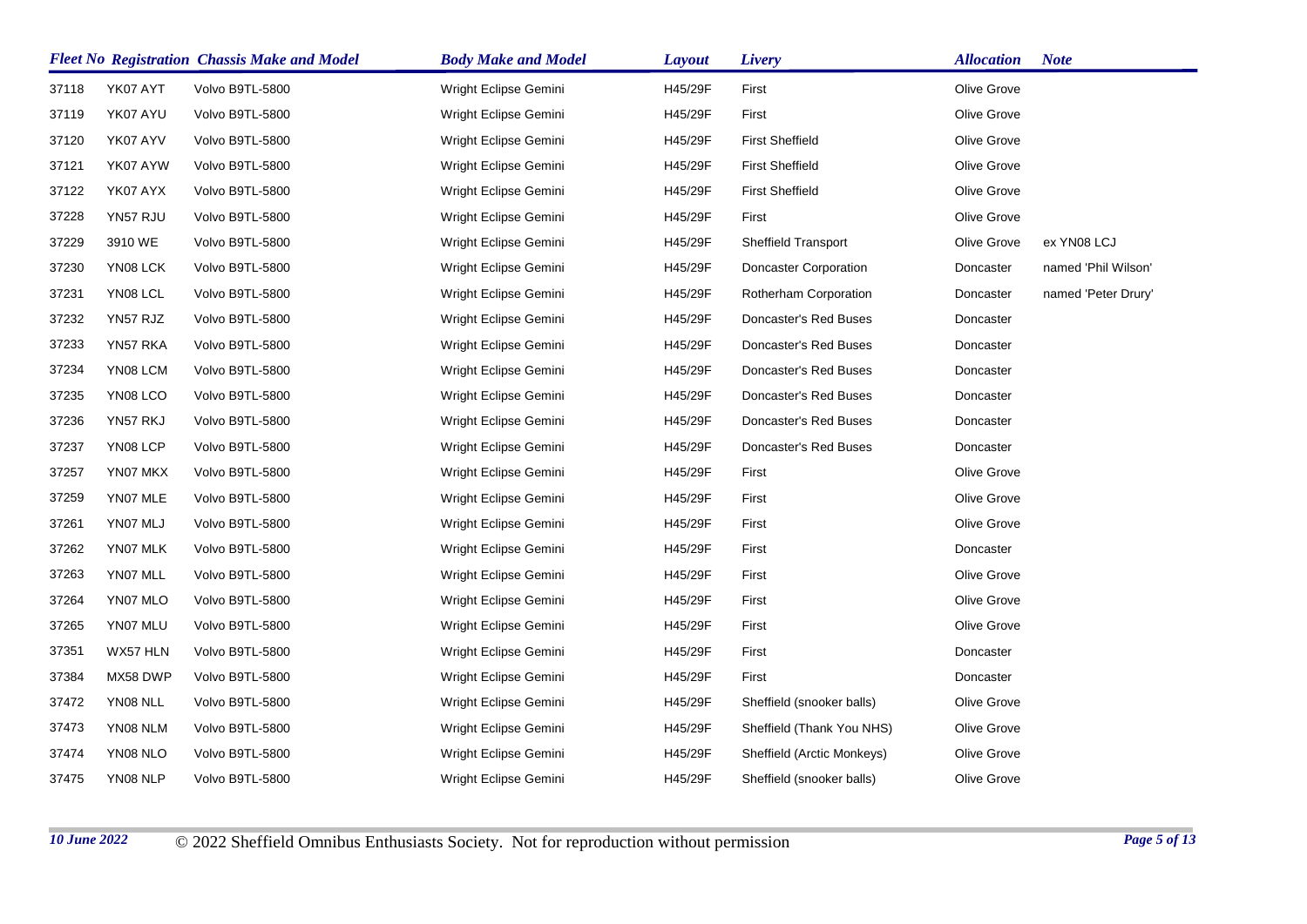|       | <b>Fleet No Registration Chassis Make and Model</b> |                 | <b>Body Make and Model</b> | <b>Layout</b> | Livery                     | <b>Allocation</b> | <b>Note</b>         |
|-------|-----------------------------------------------------|-----------------|----------------------------|---------------|----------------------------|-------------------|---------------------|
| 37118 | YK07 AYT                                            | Volvo B9TL-5800 | Wright Eclipse Gemini      | H45/29F       | First                      | Olive Grove       |                     |
| 37119 | YK07 AYU                                            | Volvo B9TL-5800 | Wright Eclipse Gemini      | H45/29F       | First                      | Olive Grove       |                     |
| 37120 | YK07 AYV                                            | Volvo B9TL-5800 | Wright Eclipse Gemini      | H45/29F       | <b>First Sheffield</b>     | Olive Grove       |                     |
| 37121 | YK07 AYW                                            | Volvo B9TL-5800 | Wright Eclipse Gemini      | H45/29F       | <b>First Sheffield</b>     | Olive Grove       |                     |
| 37122 | YK07 AYX                                            | Volvo B9TL-5800 | Wright Eclipse Gemini      | H45/29F       | <b>First Sheffield</b>     | Olive Grove       |                     |
| 37228 | YN57 RJU                                            | Volvo B9TL-5800 | Wright Eclipse Gemini      | H45/29F       | First                      | Olive Grove       |                     |
| 37229 | 3910 WE                                             | Volvo B9TL-5800 | Wright Eclipse Gemini      | H45/29F       | Sheffield Transport        | Olive Grove       | ex YN08 LCJ         |
| 37230 | YN08 LCK                                            | Volvo B9TL-5800 | Wright Eclipse Gemini      | H45/29F       | Doncaster Corporation      | Doncaster         | named 'Phil Wilson' |
| 37231 | YN08 LCL                                            | Volvo B9TL-5800 | Wright Eclipse Gemini      | H45/29F       | Rotherham Corporation      | Doncaster         | named 'Peter Drury' |
| 37232 | YN57 RJZ                                            | Volvo B9TL-5800 | Wright Eclipse Gemini      | H45/29F       | Doncaster's Red Buses      | Doncaster         |                     |
| 37233 | YN57 RKA                                            | Volvo B9TL-5800 | Wright Eclipse Gemini      | H45/29F       | Doncaster's Red Buses      | Doncaster         |                     |
| 37234 | YN08 LCM                                            | Volvo B9TL-5800 | Wright Eclipse Gemini      | H45/29F       | Doncaster's Red Buses      | Doncaster         |                     |
| 37235 | YN08 LCO                                            | Volvo B9TL-5800 | Wright Eclipse Gemini      | H45/29F       | Doncaster's Red Buses      | Doncaster         |                     |
| 37236 | YN57 RKJ                                            | Volvo B9TL-5800 | Wright Eclipse Gemini      | H45/29F       | Doncaster's Red Buses      | Doncaster         |                     |
| 37237 | YN08 LCP                                            | Volvo B9TL-5800 | Wright Eclipse Gemini      | H45/29F       | Doncaster's Red Buses      | Doncaster         |                     |
| 37257 | YN07 MKX                                            | Volvo B9TL-5800 | Wright Eclipse Gemini      | H45/29F       | First                      | Olive Grove       |                     |
| 37259 | YN07 MLE                                            | Volvo B9TL-5800 | Wright Eclipse Gemini      | H45/29F       | First                      | Olive Grove       |                     |
| 37261 | YN07 MLJ                                            | Volvo B9TL-5800 | Wright Eclipse Gemini      | H45/29F       | First                      | Olive Grove       |                     |
| 37262 | YN07 MLK                                            | Volvo B9TL-5800 | Wright Eclipse Gemini      | H45/29F       | First                      | Doncaster         |                     |
| 37263 | YN07 MLL                                            | Volvo B9TL-5800 | Wright Eclipse Gemini      | H45/29F       | First                      | Olive Grove       |                     |
| 37264 | YN07 MLO                                            | Volvo B9TL-5800 | Wright Eclipse Gemini      | H45/29F       | First                      | Olive Grove       |                     |
| 37265 | YN07 MLU                                            | Volvo B9TL-5800 | Wright Eclipse Gemini      | H45/29F       | First                      | Olive Grove       |                     |
| 37351 | WX57 HLN                                            | Volvo B9TL-5800 | Wright Eclipse Gemini      | H45/29F       | First                      | Doncaster         |                     |
| 37384 | MX58 DWP                                            | Volvo B9TL-5800 | Wright Eclipse Gemini      | H45/29F       | First                      | Doncaster         |                     |
| 37472 | YN08 NLL                                            | Volvo B9TL-5800 | Wright Eclipse Gemini      | H45/29F       | Sheffield (snooker balls)  | Olive Grove       |                     |
| 37473 | YN08 NLM                                            | Volvo B9TL-5800 | Wright Eclipse Gemini      | H45/29F       | Sheffield (Thank You NHS)  | Olive Grove       |                     |
| 37474 | YN08 NLO                                            | Volvo B9TL-5800 | Wright Eclipse Gemini      | H45/29F       | Sheffield (Arctic Monkeys) | Olive Grove       |                     |
| 37475 | YN08 NLP                                            | Volvo B9TL-5800 | Wright Eclipse Gemini      | H45/29F       | Sheffield (snooker balls)  | Olive Grove       |                     |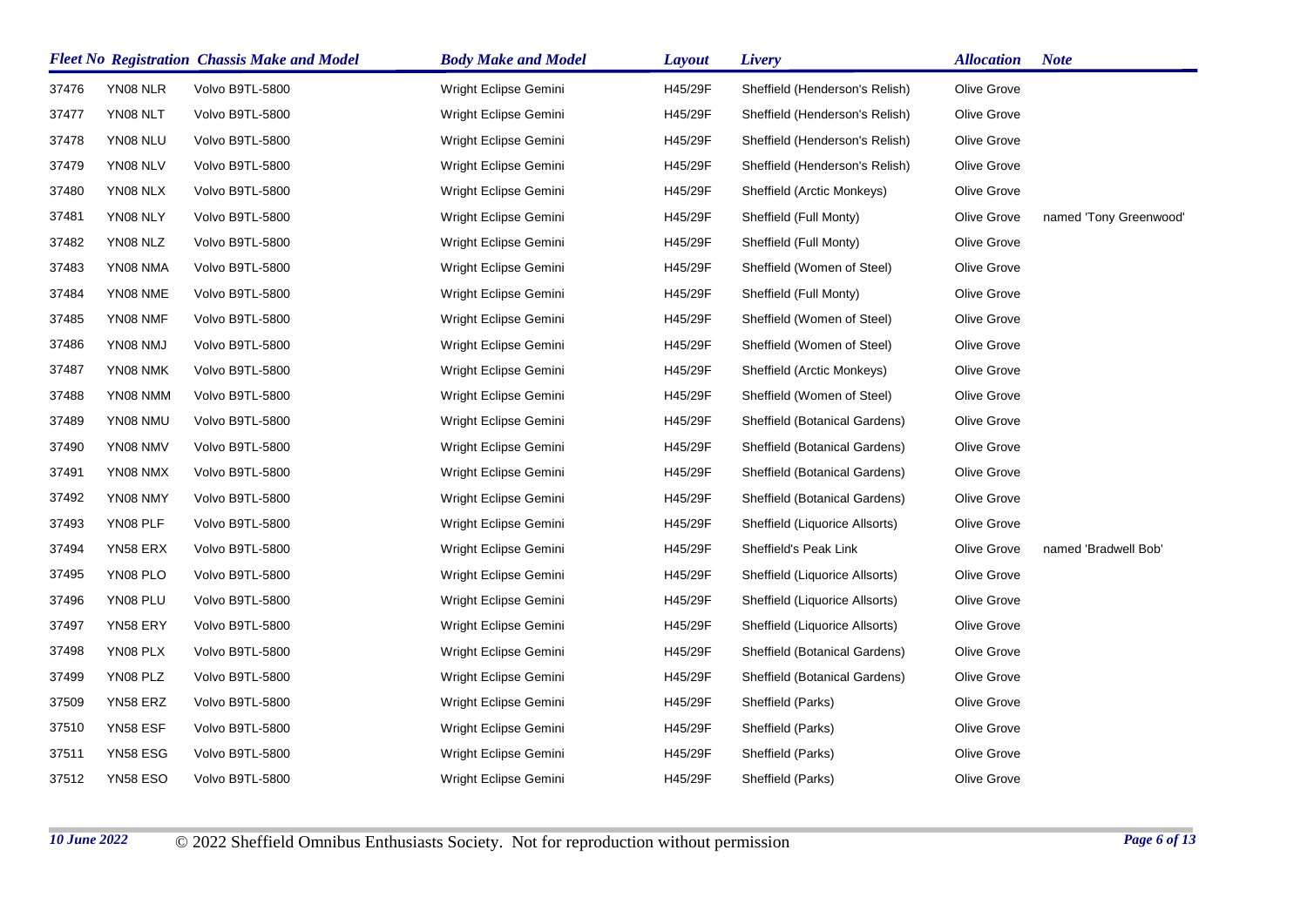|       | <b>Fleet No Registration Chassis Make and Model</b> |                 | <b>Body Make and Model</b> | <b>Layout</b> | Livery                         | <b>Allocation</b> | <b>Note</b>            |
|-------|-----------------------------------------------------|-----------------|----------------------------|---------------|--------------------------------|-------------------|------------------------|
| 37476 | YN08 NLR                                            | Volvo B9TL-5800 | Wright Eclipse Gemini      | H45/29F       | Sheffield (Henderson's Relish) | Olive Grove       |                        |
| 37477 | YN08 NLT                                            | Volvo B9TL-5800 | Wright Eclipse Gemini      | H45/29F       | Sheffield (Henderson's Relish) | Olive Grove       |                        |
| 37478 | YN08 NLU                                            | Volvo B9TL-5800 | Wright Eclipse Gemini      | H45/29F       | Sheffield (Henderson's Relish) | Olive Grove       |                        |
| 37479 | YN08 NLV                                            | Volvo B9TL-5800 | Wright Eclipse Gemini      | H45/29F       | Sheffield (Henderson's Relish) | Olive Grove       |                        |
| 37480 | YN08 NLX                                            | Volvo B9TL-5800 | Wright Eclipse Gemini      | H45/29F       | Sheffield (Arctic Monkeys)     | Olive Grove       |                        |
| 37481 | YN08 NLY                                            | Volvo B9TL-5800 | Wright Eclipse Gemini      | H45/29F       | Sheffield (Full Monty)         | Olive Grove       | named 'Tony Greenwood' |
| 37482 | YN08 NLZ                                            | Volvo B9TL-5800 | Wright Eclipse Gemini      | H45/29F       | Sheffield (Full Monty)         | Olive Grove       |                        |
| 37483 | YN08 NMA                                            | Volvo B9TL-5800 | Wright Eclipse Gemini      | H45/29F       | Sheffield (Women of Steel)     | Olive Grove       |                        |
| 37484 | YN08 NME                                            | Volvo B9TL-5800 | Wright Eclipse Gemini      | H45/29F       | Sheffield (Full Monty)         | Olive Grove       |                        |
| 37485 | YN08 NMF                                            | Volvo B9TL-5800 | Wright Eclipse Gemini      | H45/29F       | Sheffield (Women of Steel)     | Olive Grove       |                        |
| 37486 | YN08 NMJ                                            | Volvo B9TL-5800 | Wright Eclipse Gemini      | H45/29F       | Sheffield (Women of Steel)     | Olive Grove       |                        |
| 37487 | YN08 NMK                                            | Volvo B9TL-5800 | Wright Eclipse Gemini      | H45/29F       | Sheffield (Arctic Monkeys)     | Olive Grove       |                        |
| 37488 | YN08 NMM                                            | Volvo B9TL-5800 | Wright Eclipse Gemini      | H45/29F       | Sheffield (Women of Steel)     | Olive Grove       |                        |
| 37489 | YN08 NMU                                            | Volvo B9TL-5800 | Wright Eclipse Gemini      | H45/29F       | Sheffield (Botanical Gardens)  | Olive Grove       |                        |
| 37490 | YN08 NMV                                            | Volvo B9TL-5800 | Wright Eclipse Gemini      | H45/29F       | Sheffield (Botanical Gardens)  | Olive Grove       |                        |
| 37491 | YN08 NMX                                            | Volvo B9TL-5800 | Wright Eclipse Gemini      | H45/29F       | Sheffield (Botanical Gardens)  | Olive Grove       |                        |
| 37492 | YN08 NMY                                            | Volvo B9TL-5800 | Wright Eclipse Gemini      | H45/29F       | Sheffield (Botanical Gardens)  | Olive Grove       |                        |
| 37493 | YN08 PLF                                            | Volvo B9TL-5800 | Wright Eclipse Gemini      | H45/29F       | Sheffield (Liquorice Allsorts) | Olive Grove       |                        |
| 37494 | YN58 ERX                                            | Volvo B9TL-5800 | Wright Eclipse Gemini      | H45/29F       | Sheffield's Peak Link          | Olive Grove       | named 'Bradwell Bob'   |
| 37495 | YN08 PLO                                            | Volvo B9TL-5800 | Wright Eclipse Gemini      | H45/29F       | Sheffield (Liquorice Allsorts) | Olive Grove       |                        |
| 37496 | YN08 PLU                                            | Volvo B9TL-5800 | Wright Eclipse Gemini      | H45/29F       | Sheffield (Liquorice Allsorts) | Olive Grove       |                        |
| 37497 | YN58 ERY                                            | Volvo B9TL-5800 | Wright Eclipse Gemini      | H45/29F       | Sheffield (Liquorice Allsorts) | Olive Grove       |                        |
| 37498 | YN08 PLX                                            | Volvo B9TL-5800 | Wright Eclipse Gemini      | H45/29F       | Sheffield (Botanical Gardens)  | Olive Grove       |                        |
| 37499 | YN08 PLZ                                            | Volvo B9TL-5800 | Wright Eclipse Gemini      | H45/29F       | Sheffield (Botanical Gardens)  | Olive Grove       |                        |
| 37509 | YN58 ERZ                                            | Volvo B9TL-5800 | Wright Eclipse Gemini      | H45/29F       | Sheffield (Parks)              | Olive Grove       |                        |
| 37510 | YN58 ESF                                            | Volvo B9TL-5800 | Wright Eclipse Gemini      | H45/29F       | Sheffield (Parks)              | Olive Grove       |                        |
| 37511 | YN58 ESG                                            | Volvo B9TL-5800 | Wright Eclipse Gemini      | H45/29F       | Sheffield (Parks)              | Olive Grove       |                        |
| 37512 | <b>YN58 ESO</b>                                     | Volvo B9TL-5800 | Wright Eclipse Gemini      | H45/29F       | Sheffield (Parks)              | Olive Grove       |                        |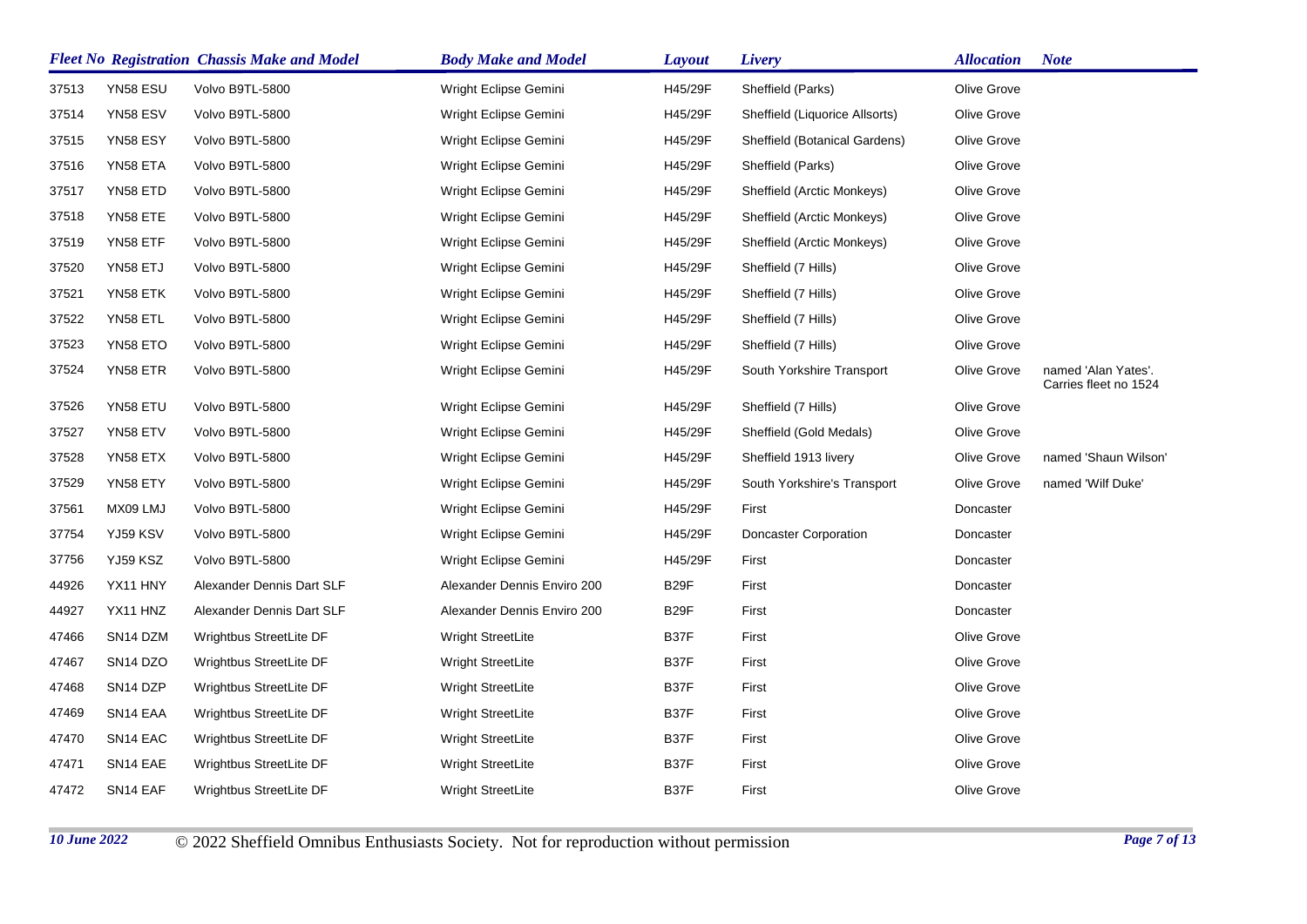|       |                                  | <b>Fleet No Registration Chassis Make and Model</b> | <b>Body Make and Model</b>  | <b>Layout</b>     | Livery                         | <b>Allocation</b> | <b>Note</b>                                  |
|-------|----------------------------------|-----------------------------------------------------|-----------------------------|-------------------|--------------------------------|-------------------|----------------------------------------------|
| 37513 | YN58 ESU                         | Volvo B9TL-5800                                     | Wright Eclipse Gemini       | H45/29F           | Sheffield (Parks)              | Olive Grove       |                                              |
| 37514 | YN58 ESV                         | Volvo B9TL-5800                                     | Wright Eclipse Gemini       | H45/29F           | Sheffield (Liquorice Allsorts) | Olive Grove       |                                              |
| 37515 | YN58 ESY                         | Volvo B9TL-5800                                     | Wright Eclipse Gemini       | H45/29F           | Sheffield (Botanical Gardens)  | Olive Grove       |                                              |
| 37516 | YN58 ETA                         | Volvo B9TL-5800                                     | Wright Eclipse Gemini       | H45/29F           | Sheffield (Parks)              | Olive Grove       |                                              |
| 37517 | YN58 ETD                         | Volvo B9TL-5800                                     | Wright Eclipse Gemini       | H45/29F           | Sheffield (Arctic Monkeys)     | Olive Grove       |                                              |
| 37518 | YN58 ETE                         | Volvo B9TL-5800                                     | Wright Eclipse Gemini       | H45/29F           | Sheffield (Arctic Monkeys)     | Olive Grove       |                                              |
| 37519 | YN58 ETF                         | Volvo B9TL-5800                                     | Wright Eclipse Gemini       | H45/29F           | Sheffield (Arctic Monkeys)     | Olive Grove       |                                              |
| 37520 | YN58 ETJ                         | Volvo B9TL-5800                                     | Wright Eclipse Gemini       | H45/29F           | Sheffield (7 Hills)            | Olive Grove       |                                              |
| 37521 | YN58 ETK                         | Volvo B9TL-5800                                     | Wright Eclipse Gemini       | H45/29F           | Sheffield (7 Hills)            | Olive Grove       |                                              |
| 37522 | YN58 ETL                         | Volvo B9TL-5800                                     | Wright Eclipse Gemini       | H45/29F           | Sheffield (7 Hills)            | Olive Grove       |                                              |
| 37523 | YN58 ETO                         | Volvo B9TL-5800                                     | Wright Eclipse Gemini       | H45/29F           | Sheffield (7 Hills)            | Olive Grove       |                                              |
| 37524 | YN58 ETR                         | Volvo B9TL-5800                                     | Wright Eclipse Gemini       | H45/29F           | South Yorkshire Transport      | Olive Grove       | named 'Alan Yates'.<br>Carries fleet no 1524 |
| 37526 | YN58 ETU                         | Volvo B9TL-5800                                     | Wright Eclipse Gemini       | H45/29F           | Sheffield (7 Hills)            | Olive Grove       |                                              |
| 37527 | YN58 ETV                         | Volvo B9TL-5800                                     | Wright Eclipse Gemini       | H45/29F           | Sheffield (Gold Medals)        | Olive Grove       |                                              |
| 37528 | YN58 ETX                         | Volvo B9TL-5800                                     | Wright Eclipse Gemini       | H45/29F           | Sheffield 1913 livery          | Olive Grove       | named 'Shaun Wilson'                         |
| 37529 | YN58 ETY                         | Volvo B9TL-5800                                     | Wright Eclipse Gemini       | H45/29F           | South Yorkshire's Transport    | Olive Grove       | named 'Wilf Duke'                            |
| 37561 | MX09 LMJ                         | Volvo B9TL-5800                                     | Wright Eclipse Gemini       | H45/29F           | First                          | Doncaster         |                                              |
| 37754 | YJ59 KSV                         | Volvo B9TL-5800                                     | Wright Eclipse Gemini       | H45/29F           | Doncaster Corporation          | Doncaster         |                                              |
| 37756 | YJ59 KSZ                         | Volvo B9TL-5800                                     | Wright Eclipse Gemini       | H45/29F           | First                          | Doncaster         |                                              |
| 44926 | YX11 HNY                         | Alexander Dennis Dart SLF                           | Alexander Dennis Enviro 200 | B <sub>29</sub> F | First                          | Doncaster         |                                              |
| 44927 | YX11 HNZ                         | Alexander Dennis Dart SLF                           | Alexander Dennis Enviro 200 | B29F              | First                          | Doncaster         |                                              |
| 47466 | SN14 DZM                         | Wrightbus StreetLite DF                             | Wright StreetLite           | B37F              | First                          | Olive Grove       |                                              |
| 47467 | SN <sub>14</sub> D <sub>ZO</sub> | Wrightbus StreetLite DF                             | <b>Wright StreetLite</b>    | B37F              | First                          | Olive Grove       |                                              |
| 47468 | SN <sub>14</sub> DZP             | Wrightbus StreetLite DF                             | Wright StreetLite           | B37F              | First                          | Olive Grove       |                                              |
| 47469 | SN14 EAA                         | Wrightbus StreetLite DF                             | Wright StreetLite           | B37F              | First                          | Olive Grove       |                                              |
| 47470 | SN <sub>14</sub> EAC             | Wrightbus StreetLite DF                             | <b>Wright StreetLite</b>    | B37F              | First                          | Olive Grove       |                                              |
| 47471 | SN14 EAE                         | Wrightbus StreetLite DF                             | <b>Wright StreetLite</b>    | B37F              | First                          | Olive Grove       |                                              |
| 47472 | SN14 EAF                         | Wrightbus StreetLite DF                             | <b>Wright StreetLite</b>    | B37F              | First                          | Olive Grove       |                                              |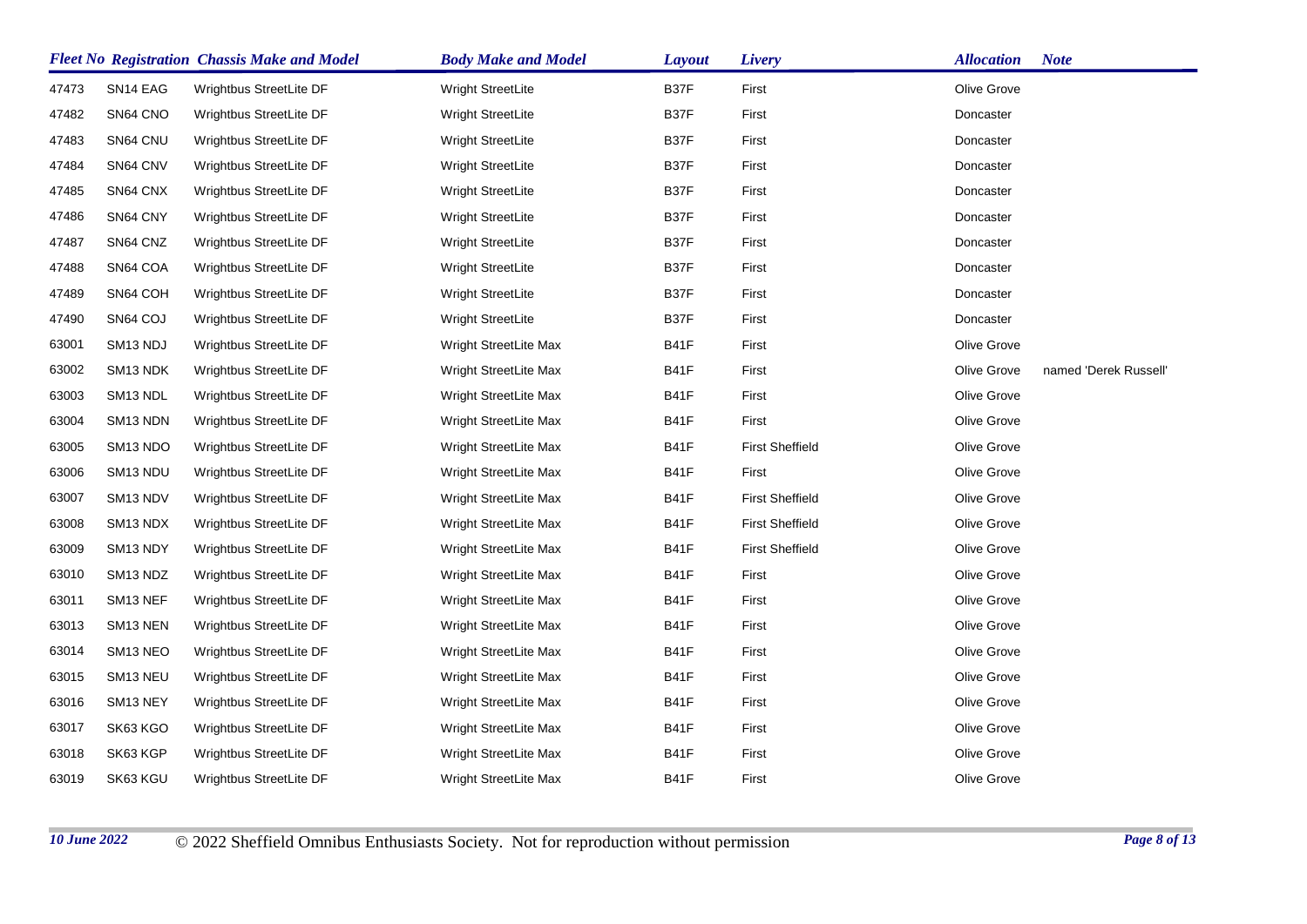|       |                      | <b>Fleet No Registration Chassis Make and Model</b> | <b>Body Make and Model</b> | <b>Layout</b> | Livery                 | <b>Allocation</b> | <b>Note</b>           |
|-------|----------------------|-----------------------------------------------------|----------------------------|---------------|------------------------|-------------------|-----------------------|
| 47473 | SN <sub>14</sub> EAG | Wrightbus StreetLite DF                             | <b>Wright StreetLite</b>   | B37F          | First                  | Olive Grove       |                       |
| 47482 | SN64 CNO             | Wrightbus StreetLite DF                             | <b>Wright StreetLite</b>   | B37F          | First                  | Doncaster         |                       |
| 47483 | SN64 CNU             | Wrightbus StreetLite DF                             | Wright StreetLite          | B37F          | First                  | Doncaster         |                       |
| 47484 | SN64 CNV             | Wrightbus StreetLite DF                             | Wright StreetLite          | B37F          | First                  | Doncaster         |                       |
| 47485 | SN64 CNX             | Wrightbus StreetLite DF                             | Wright StreetLite          | B37F          | First                  | Doncaster         |                       |
| 47486 | SN64 CNY             | Wrightbus StreetLite DF                             | Wright StreetLite          | B37F          | First                  | Doncaster         |                       |
| 47487 | SN64 CNZ             | Wrightbus StreetLite DF                             | Wright StreetLite          | B37F          | First                  | Doncaster         |                       |
| 47488 | SN64 COA             | Wrightbus StreetLite DF                             | Wright StreetLite          | B37F          | First                  | Doncaster         |                       |
| 47489 | SN64 COH             | Wrightbus StreetLite DF                             | Wright StreetLite          | B37F          | First                  | Doncaster         |                       |
| 47490 | SN64 COJ             | Wrightbus StreetLite DF                             | Wright StreetLite          | B37F          | First                  | Doncaster         |                       |
| 63001 | SM <sub>13</sub> NDJ | Wrightbus StreetLite DF                             | Wright StreetLite Max      | B41F          | First                  | Olive Grove       |                       |
| 63002 | SM13 NDK             | Wrightbus StreetLite DF                             | Wright StreetLite Max      | B41F          | First                  | Olive Grove       | named 'Derek Russell' |
| 63003 | SM <sub>13</sub> NDL | Wrightbus StreetLite DF                             | Wright StreetLite Max      | <b>B41F</b>   | First                  | Olive Grove       |                       |
| 63004 | SM13 NDN             | Wrightbus StreetLite DF                             | Wright StreetLite Max      | B41F          | First                  | Olive Grove       |                       |
| 63005 | SM13 NDO             | Wrightbus StreetLite DF                             | Wright StreetLite Max      | B41F          | <b>First Sheffield</b> | Olive Grove       |                       |
| 63006 | SM13 NDU             | Wrightbus StreetLite DF                             | Wright StreetLite Max      | B41F          | First                  | Olive Grove       |                       |
| 63007 | SM13 NDV             | Wrightbus StreetLite DF                             | Wright StreetLite Max      | B41F          | <b>First Sheffield</b> | Olive Grove       |                       |
| 63008 | SM13 NDX             | Wrightbus StreetLite DF                             | Wright StreetLite Max      | B41F          | <b>First Sheffield</b> | Olive Grove       |                       |
| 63009 | SM13 NDY             | Wrightbus StreetLite DF                             | Wright StreetLite Max      | B41F          | <b>First Sheffield</b> | Olive Grove       |                       |
| 63010 | SM <sub>13</sub> NDZ | Wrightbus StreetLite DF                             | Wright StreetLite Max      | B41F          | First                  | Olive Grove       |                       |
| 63011 | SM13 NEF             | Wrightbus StreetLite DF                             | Wright StreetLite Max      | B41F          | First                  | Olive Grove       |                       |
| 63013 | SM <sub>13</sub> NEN | Wrightbus StreetLite DF                             | Wright StreetLite Max      | B41F          | First                  | Olive Grove       |                       |
| 63014 | SM <sub>13</sub> NEO | Wrightbus StreetLite DF                             | Wright StreetLite Max      | B41F          | First                  | Olive Grove       |                       |
| 63015 | SM <sub>13</sub> NEU | Wrightbus StreetLite DF                             | Wright StreetLite Max      | B41F          | First                  | Olive Grove       |                       |
| 63016 | SM13 NEY             | Wrightbus StreetLite DF                             | Wright StreetLite Max      | B41F          | First                  | Olive Grove       |                       |
| 63017 | SK63 KGO             | Wrightbus StreetLite DF                             | Wright StreetLite Max      | B41F          | First                  | Olive Grove       |                       |
| 63018 | SK63 KGP             | Wrightbus StreetLite DF                             | Wright StreetLite Max      | B41F          | First                  | Olive Grove       |                       |
| 63019 | SK63 KGU             | Wrightbus StreetLite DF                             | Wright StreetLite Max      | B41F          | First                  | Olive Grove       |                       |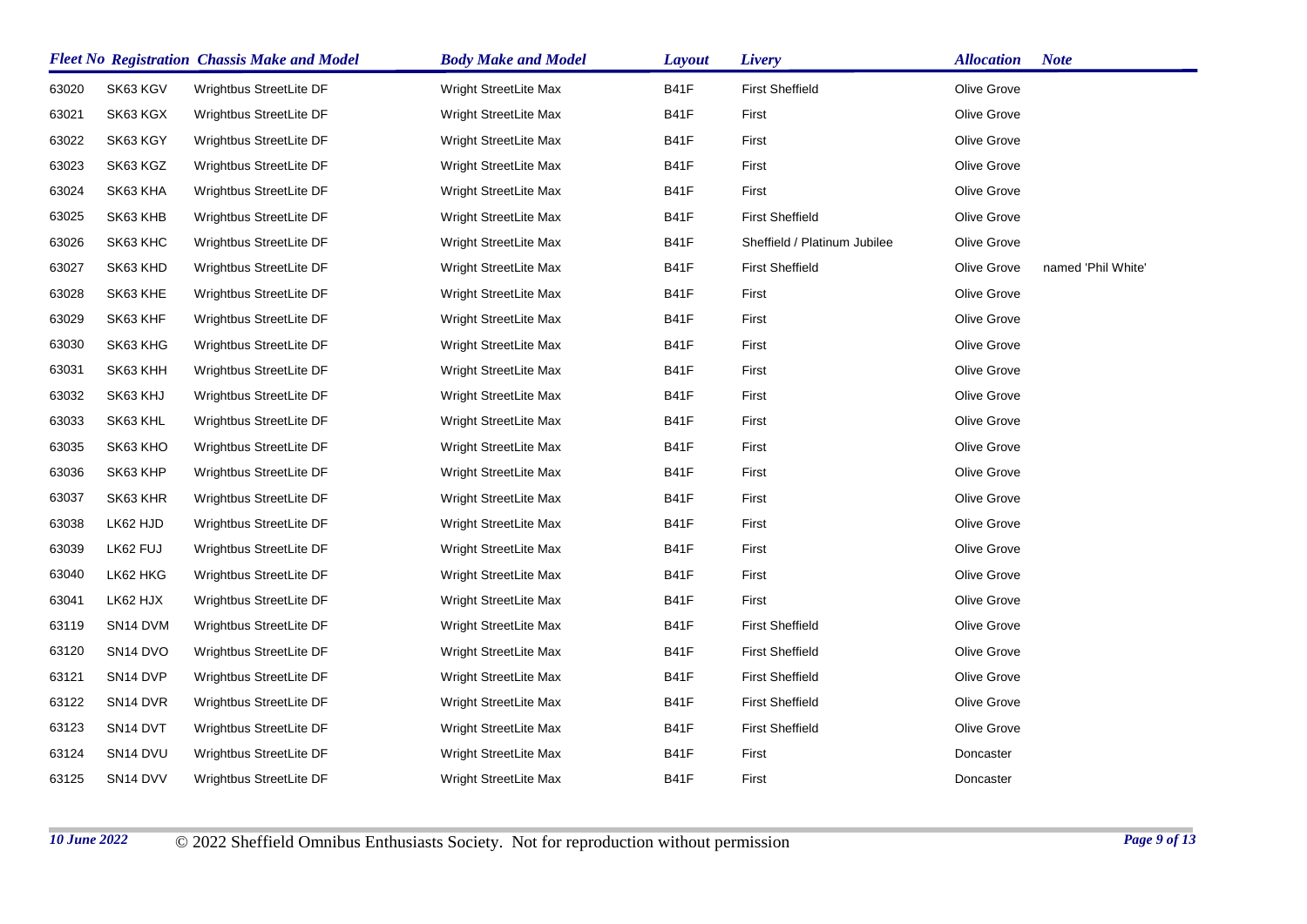|       |                                  | <b>Fleet No Registration Chassis Make and Model</b> | <b>Body Make and Model</b> | <b>Layout</b> | Livery                       | <b>Allocation</b> | <b>Note</b>        |
|-------|----------------------------------|-----------------------------------------------------|----------------------------|---------------|------------------------------|-------------------|--------------------|
| 63020 | SK63 KGV                         | Wrightbus StreetLite DF                             | Wright StreetLite Max      | B41F          | <b>First Sheffield</b>       | Olive Grove       |                    |
| 63021 | SK63 KGX                         | Wrightbus StreetLite DF                             | Wright StreetLite Max      | <b>B41F</b>   | First                        | Olive Grove       |                    |
| 63022 | SK63 KGY                         | Wrightbus StreetLite DF                             | Wright StreetLite Max      | <b>B41F</b>   | First                        | Olive Grove       |                    |
| 63023 | SK63 KGZ                         | Wrightbus StreetLite DF                             | Wright StreetLite Max      | <b>B41F</b>   | First                        | Olive Grove       |                    |
| 63024 | SK63 KHA                         | Wrightbus StreetLite DF                             | Wright StreetLite Max      | <b>B41F</b>   | First                        | Olive Grove       |                    |
| 63025 | SK63 KHB                         | Wrightbus StreetLite DF                             | Wright StreetLite Max      | <b>B41F</b>   | <b>First Sheffield</b>       | Olive Grove       |                    |
| 63026 | SK63 KHC                         | Wrightbus StreetLite DF                             | Wright StreetLite Max      | B41F          | Sheffield / Platinum Jubilee | Olive Grove       |                    |
| 63027 | SK63 KHD                         | Wrightbus StreetLite DF                             | Wright StreetLite Max      | B41F          | <b>First Sheffield</b>       | Olive Grove       | named 'Phil White' |
| 63028 | SK63 KHE                         | Wrightbus StreetLite DF                             | Wright StreetLite Max      | <b>B41F</b>   | First                        | Olive Grove       |                    |
| 63029 | SK63 KHF                         | Wrightbus StreetLite DF                             | Wright StreetLite Max      | B41F          | First                        | Olive Grove       |                    |
| 63030 | SK63 KHG                         | Wrightbus StreetLite DF                             | Wright StreetLite Max      | B41F          | First                        | Olive Grove       |                    |
| 63031 | SK63 KHH                         | Wrightbus StreetLite DF                             | Wright StreetLite Max      | B41F          | First                        | Olive Grove       |                    |
| 63032 | SK63 KHJ                         | Wrightbus StreetLite DF                             | Wright StreetLite Max      | B41F          | First                        | Olive Grove       |                    |
| 63033 | SK63 KHL                         | Wrightbus StreetLite DF                             | Wright StreetLite Max      | B41F          | First                        | Olive Grove       |                    |
| 63035 | SK63 KHO                         | Wrightbus StreetLite DF                             | Wright StreetLite Max      | B41F          | First                        | Olive Grove       |                    |
| 63036 | SK63 KHP                         | Wrightbus StreetLite DF                             | Wright StreetLite Max      | B41F          | First                        | Olive Grove       |                    |
| 63037 | SK63 KHR                         | Wrightbus StreetLite DF                             | Wright StreetLite Max      | B41F          | First                        | Olive Grove       |                    |
| 63038 | LK62 HJD                         | Wrightbus StreetLite DF                             | Wright StreetLite Max      | <b>B41F</b>   | First                        | Olive Grove       |                    |
| 63039 | LK62 FUJ                         | Wrightbus StreetLite DF                             | Wright StreetLite Max      | B41F          | First                        | Olive Grove       |                    |
| 63040 | LK62 HKG                         | Wrightbus StreetLite DF                             | Wright StreetLite Max      | B41F          | First                        | Olive Grove       |                    |
| 63041 | LK62 HJX                         | Wrightbus StreetLite DF                             | Wright StreetLite Max      | B41F          | First                        | Olive Grove       |                    |
| 63119 | SN14 DVM                         | Wrightbus StreetLite DF                             | Wright StreetLite Max      | B41F          | <b>First Sheffield</b>       | Olive Grove       |                    |
| 63120 | SN14 DVO                         | Wrightbus StreetLite DF                             | Wright StreetLite Max      | B41F          | <b>First Sheffield</b>       | Olive Grove       |                    |
| 63121 | SN <sub>14</sub> DVP             | Wrightbus StreetLite DF                             | Wright StreetLite Max      | B41F          | <b>First Sheffield</b>       | Olive Grove       |                    |
| 63122 | SN <sub>14</sub> D <sub>VR</sub> | Wrightbus StreetLite DF                             | Wright StreetLite Max      | B41F          | <b>First Sheffield</b>       | Olive Grove       |                    |
| 63123 | SN <sub>14</sub> DVT             | Wrightbus StreetLite DF                             | Wright StreetLite Max      | <b>B41F</b>   | <b>First Sheffield</b>       | Olive Grove       |                    |
| 63124 | SN <sub>14</sub> DVU             | Wrightbus StreetLite DF                             | Wright StreetLite Max      | B41F          | First                        | Doncaster         |                    |
| 63125 | SN14 DVV                         | Wrightbus StreetLite DF                             | Wright StreetLite Max      | B41F          | First                        | Doncaster         |                    |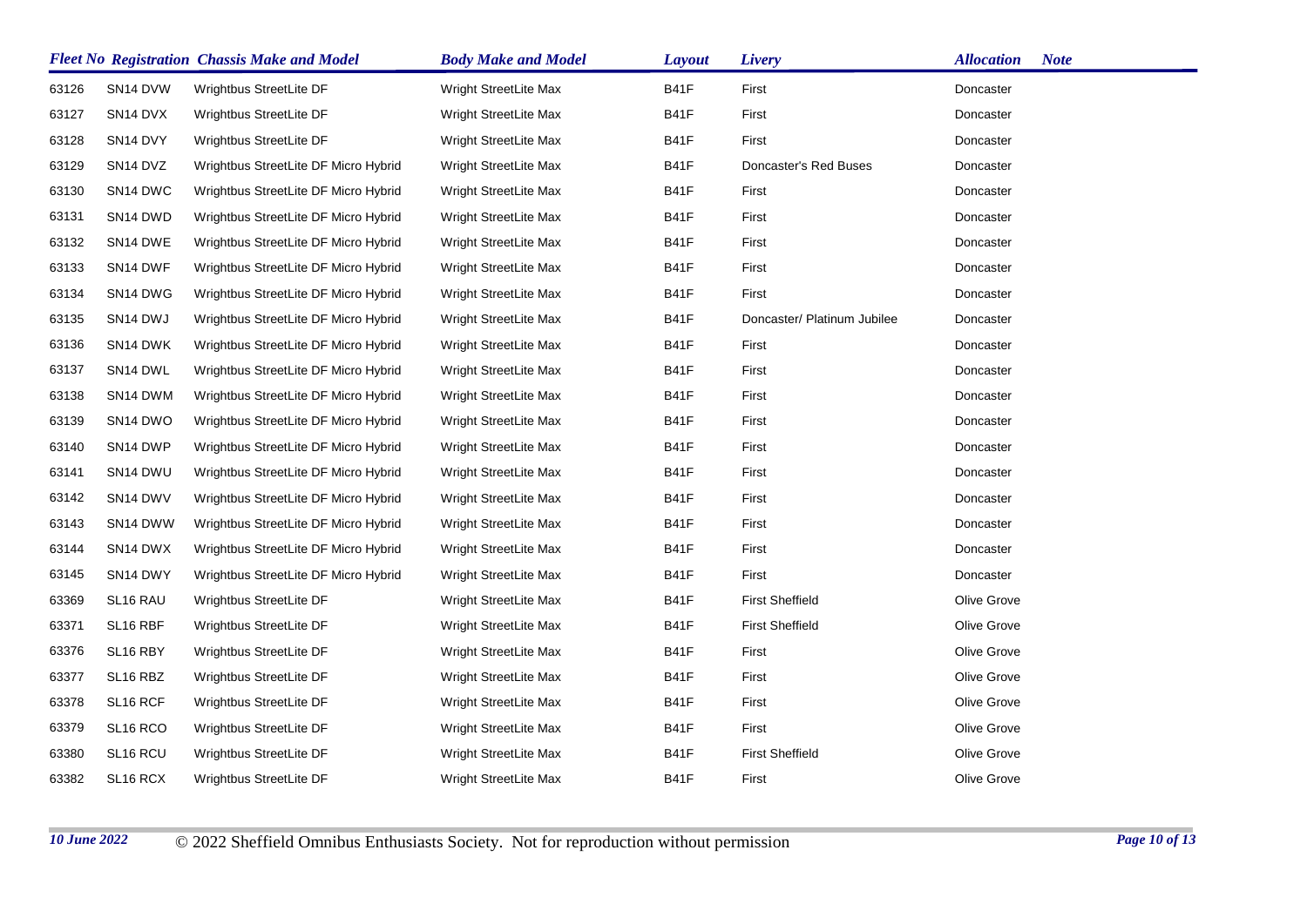|       |                                  | <b>Fleet No Registration Chassis Make and Model</b> | <b>Body Make and Model</b> | <b>Layout</b> | Livery                      | <b>Allocation</b><br><b>Note</b> |
|-------|----------------------------------|-----------------------------------------------------|----------------------------|---------------|-----------------------------|----------------------------------|
| 63126 | SN <sub>14</sub> DVW             | Wrightbus StreetLite DF                             | Wright StreetLite Max      | B41F          | First                       | Doncaster                        |
| 63127 | SN <sub>14</sub> DVX             | Wrightbus StreetLite DF                             | Wright StreetLite Max      | B41F          | First                       | Doncaster                        |
| 63128 | SN <sub>14</sub> DVY             | Wrightbus StreetLite DF                             | Wright StreetLite Max      | <b>B41F</b>   | First                       | Doncaster                        |
| 63129 | SN <sub>14</sub> D <sub>VZ</sub> | Wrightbus StreetLite DF Micro Hybrid                | Wright StreetLite Max      | <b>B41F</b>   | Doncaster's Red Buses       | Doncaster                        |
| 63130 | SN <sub>14</sub> DWC             | Wrightbus StreetLite DF Micro Hybrid                | Wright StreetLite Max      | B41F          | First                       | Doncaster                        |
| 63131 | SN <sub>14</sub> DWD             | Wrightbus StreetLite DF Micro Hybrid                | Wright StreetLite Max      | B41F          | First                       | Doncaster                        |
| 63132 | SN14 DWE                         | Wrightbus StreetLite DF Micro Hybrid                | Wright StreetLite Max      | B41F          | First                       | Doncaster                        |
| 63133 | SN <sub>14</sub> DWF             | Wrightbus StreetLite DF Micro Hybrid                | Wright StreetLite Max      | <b>B41F</b>   | First                       | Doncaster                        |
| 63134 | SN14 DWG                         | Wrightbus StreetLite DF Micro Hybrid                | Wright StreetLite Max      | B41F          | First                       | Doncaster                        |
| 63135 | SN14 DWJ                         | Wrightbus StreetLite DF Micro Hybrid                | Wright StreetLite Max      | B41F          | Doncaster/ Platinum Jubilee | Doncaster                        |
| 63136 | SN <sub>14</sub> DWK             | Wrightbus StreetLite DF Micro Hybrid                | Wright StreetLite Max      | B41F          | First                       | Doncaster                        |
| 63137 | SN <sub>14</sub> DWL             | Wrightbus StreetLite DF Micro Hybrid                | Wright StreetLite Max      | B41F          | First                       | Doncaster                        |
| 63138 | SN14 DWM                         | Wrightbus StreetLite DF Micro Hybrid                | Wright StreetLite Max      | B41F          | First                       | Doncaster                        |
| 63139 | SN <sub>14</sub> DWO             | Wrightbus StreetLite DF Micro Hybrid                | Wright StreetLite Max      | B41F          | First                       | Doncaster                        |
| 63140 | SN <sub>14</sub> DWP             | Wrightbus StreetLite DF Micro Hybrid                | Wright StreetLite Max      | B41F          | First                       | Doncaster                        |
| 63141 | SN <sub>14</sub> DWU             | Wrightbus StreetLite DF Micro Hybrid                | Wright StreetLite Max      | <b>B41F</b>   | First                       | Doncaster                        |
| 63142 | SN14 DWV                         | Wrightbus StreetLite DF Micro Hybrid                | Wright StreetLite Max      | B41F          | First                       | Doncaster                        |
| 63143 | SN <sub>14</sub> DWW             | Wrightbus StreetLite DF Micro Hybrid                | Wright StreetLite Max      | <b>B41F</b>   | First                       | Doncaster                        |
| 63144 | SN <sub>14</sub> DWX             | Wrightbus StreetLite DF Micro Hybrid                | Wright StreetLite Max      | <b>B41F</b>   | First                       | Doncaster                        |
| 63145 | SN <sub>14</sub> DWY             | Wrightbus StreetLite DF Micro Hybrid                | Wright StreetLite Max      | <b>B41F</b>   | First                       | Doncaster                        |
| 63369 | SL16 RAU                         | Wrightbus StreetLite DF                             | Wright StreetLite Max      | <b>B41F</b>   | <b>First Sheffield</b>      | Olive Grove                      |
| 63371 | SL <sub>16</sub> RBF             | Wrightbus StreetLite DF                             | Wright StreetLite Max      | B41F          | <b>First Sheffield</b>      | Olive Grove                      |
| 63376 | SL16 RBY                         | Wrightbus StreetLite DF                             | Wright StreetLite Max      | <b>B41F</b>   | First                       | Olive Grove                      |
| 63377 | SL16 RBZ                         | Wrightbus StreetLite DF                             | Wright StreetLite Max      | B41F          | First                       | Olive Grove                      |
| 63378 | SL <sub>16</sub> RCF             | Wrightbus StreetLite DF                             | Wright StreetLite Max      | <b>B41F</b>   | First                       | Olive Grove                      |
| 63379 | SL <sub>16</sub> RCO             | Wrightbus StreetLite DF                             | Wright StreetLite Max      | <b>B41F</b>   | First                       | Olive Grove                      |
| 63380 | SL <sub>16</sub> RCU             | Wrightbus StreetLite DF                             | Wright StreetLite Max      | <b>B41F</b>   | <b>First Sheffield</b>      | Olive Grove                      |
| 63382 | SL16 RCX                         | Wrightbus StreetLite DF                             | Wright StreetLite Max      | <b>B41F</b>   | First                       | Olive Grove                      |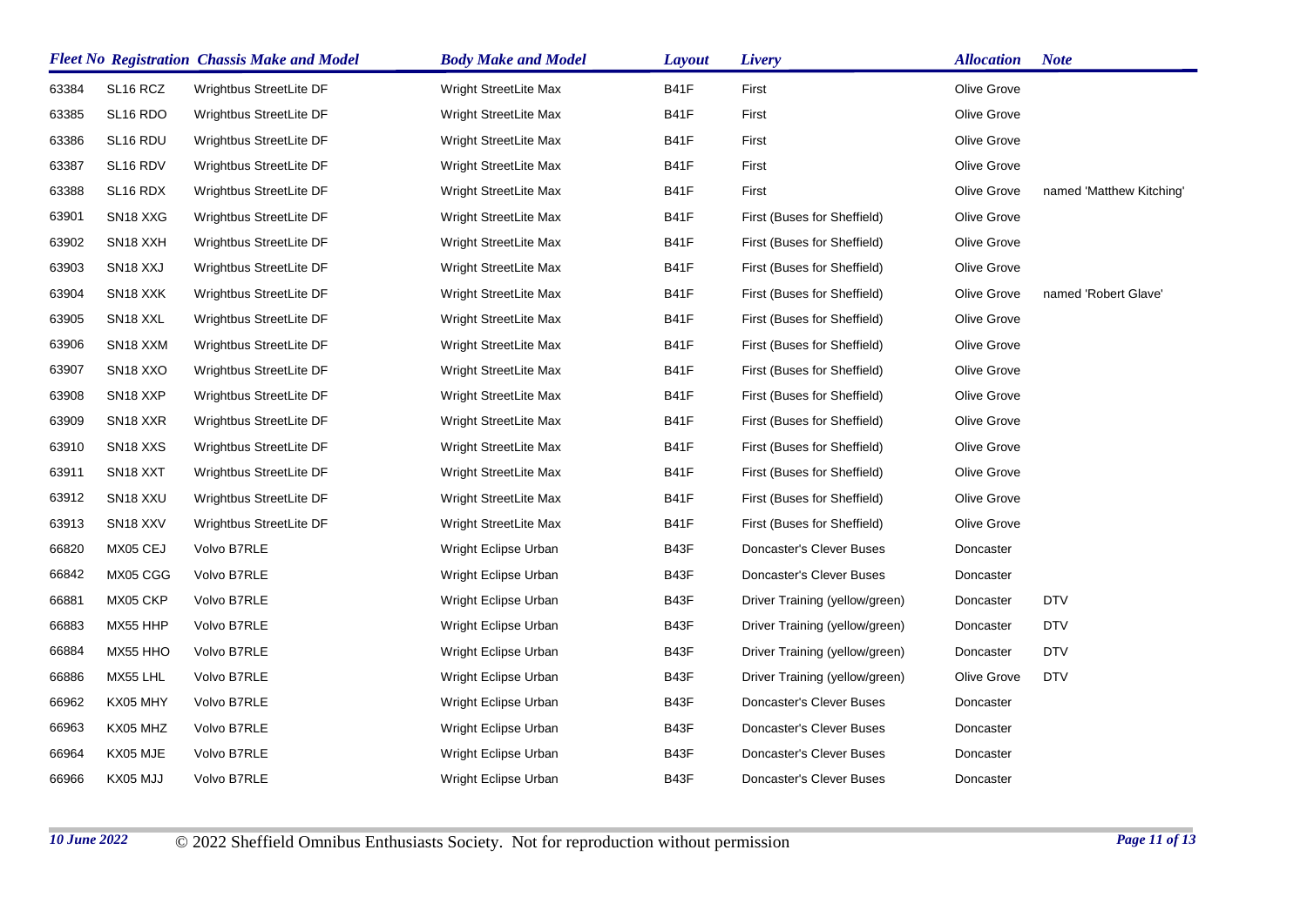|       |                                   | <b>Fleet No Registration Chassis Make and Model</b> | <b>Body Make and Model</b> | <b>Layout</b> | Livery                         | <b>Allocation</b> | <b>Note</b>              |
|-------|-----------------------------------|-----------------------------------------------------|----------------------------|---------------|--------------------------------|-------------------|--------------------------|
| 63384 | SL16 RCZ                          | Wrightbus StreetLite DF                             | Wright StreetLite Max      | B41F          | First                          | Olive Grove       |                          |
| 63385 | SL <sub>16</sub> RDO              | Wrightbus StreetLite DF                             | Wright StreetLite Max      | B41F          | First                          | Olive Grove       |                          |
| 63386 | SL16 RDU                          | Wrightbus StreetLite DF                             | Wright StreetLite Max      | <b>B41F</b>   | First                          | Olive Grove       |                          |
| 63387 | SL16 RDV                          | Wrightbus StreetLite DF                             | Wright StreetLite Max      | <b>B41F</b>   | First                          | Olive Grove       |                          |
| 63388 | SL <sub>16</sub> RDX              | Wrightbus StreetLite DF                             | Wright StreetLite Max      | <b>B41F</b>   | First                          | Olive Grove       | named 'Matthew Kitching' |
| 63901 | SN <sub>18</sub> X <sub>X</sub> G | Wrightbus StreetLite DF                             | Wright StreetLite Max      | B41F          | First (Buses for Sheffield)    | Olive Grove       |                          |
| 63902 | SN <sub>18</sub> X <sub>XH</sub>  | Wrightbus StreetLite DF                             | Wright StreetLite Max      | <b>B41F</b>   | First (Buses for Sheffield)    | Olive Grove       |                          |
| 63903 | SN <sub>18</sub> X <sub>X</sub> J | Wrightbus StreetLite DF                             | Wright StreetLite Max      | B41F          | First (Buses for Sheffield)    | Olive Grove       |                          |
| 63904 | SN <sub>18</sub> X <sub>X</sub> K | Wrightbus StreetLite DF                             | Wright StreetLite Max      | B41F          | First (Buses for Sheffield)    | Olive Grove       | named 'Robert Glave'     |
| 63905 | SN <sub>18</sub> X <sub>XL</sub>  | Wrightbus StreetLite DF                             | Wright StreetLite Max      | B41F          | First (Buses for Sheffield)    | Olive Grove       |                          |
| 63906 | SN18 XXM                          | Wrightbus StreetLite DF                             | Wright StreetLite Max      | <b>B41F</b>   | First (Buses for Sheffield)    | Olive Grove       |                          |
| 63907 | SN <sub>18</sub> X <sub>XO</sub>  | Wrightbus StreetLite DF                             | Wright StreetLite Max      | B41F          | First (Buses for Sheffield)    | Olive Grove       |                          |
| 63908 | SN <sub>18</sub> X <sub>XP</sub>  | Wrightbus StreetLite DF                             | Wright StreetLite Max      | B41F          | First (Buses for Sheffield)    | Olive Grove       |                          |
| 63909 | SN <sub>18</sub> X <sub>XR</sub>  | Wrightbus StreetLite DF                             | Wright StreetLite Max      | B41F          | First (Buses for Sheffield)    | Olive Grove       |                          |
| 63910 | SN <sub>18</sub> X <sub>X</sub> S | Wrightbus StreetLite DF                             | Wright StreetLite Max      | <b>B41F</b>   | First (Buses for Sheffield)    | Olive Grove       |                          |
| 63911 | SN <sub>18</sub> X <sub>X</sub> T | Wrightbus StreetLite DF                             | Wright StreetLite Max      | B41F          | First (Buses for Sheffield)    | Olive Grove       |                          |
| 63912 | SN <sub>18</sub> X <sub>XU</sub>  | Wrightbus StreetLite DF                             | Wright StreetLite Max      | B41F          | First (Buses for Sheffield)    | Olive Grove       |                          |
| 63913 | SN <sub>18</sub> X <sub>XV</sub>  | Wrightbus StreetLite DF                             | Wright StreetLite Max      | <b>B41F</b>   | First (Buses for Sheffield)    | Olive Grove       |                          |
| 66820 | MX05 CEJ                          | Volvo B7RLE                                         | Wright Eclipse Urban       | B43F          | Doncaster's Clever Buses       | Doncaster         |                          |
| 66842 | MX05 CGG                          | Volvo B7RLE                                         | Wright Eclipse Urban       | B43F          | Doncaster's Clever Buses       | Doncaster         |                          |
| 66881 | MX05 CKP                          | Volvo B7RLE                                         | Wright Eclipse Urban       | B43F          | Driver Training (yellow/green) | Doncaster         | <b>DTV</b>               |
| 66883 | MX55 HHP                          | Volvo B7RLE                                         | Wright Eclipse Urban       | B43F          | Driver Training (yellow/green) | Doncaster         | <b>DTV</b>               |
| 66884 | MX55 HHO                          | Volvo B7RLE                                         | Wright Eclipse Urban       | B43F          | Driver Training (yellow/green) | Doncaster         | <b>DTV</b>               |
| 66886 | MX55 LHL                          | Volvo B7RLE                                         | Wright Eclipse Urban       | B43F          | Driver Training (yellow/green) | Olive Grove       | <b>DTV</b>               |
| 66962 | KX05 MHY                          | Volvo B7RLE                                         | Wright Eclipse Urban       | B43F          | Doncaster's Clever Buses       | Doncaster         |                          |
| 66963 | KX05 MHZ                          | Volvo B7RLE                                         | Wright Eclipse Urban       | B43F          | Doncaster's Clever Buses       | Doncaster         |                          |
| 66964 | KX05 MJE                          | Volvo B7RLE                                         | Wright Eclipse Urban       | B43F          | Doncaster's Clever Buses       | Doncaster         |                          |
| 66966 | KX05 MJJ                          | Volvo B7RLE                                         | Wright Eclipse Urban       | B43F          | Doncaster's Clever Buses       | Doncaster         |                          |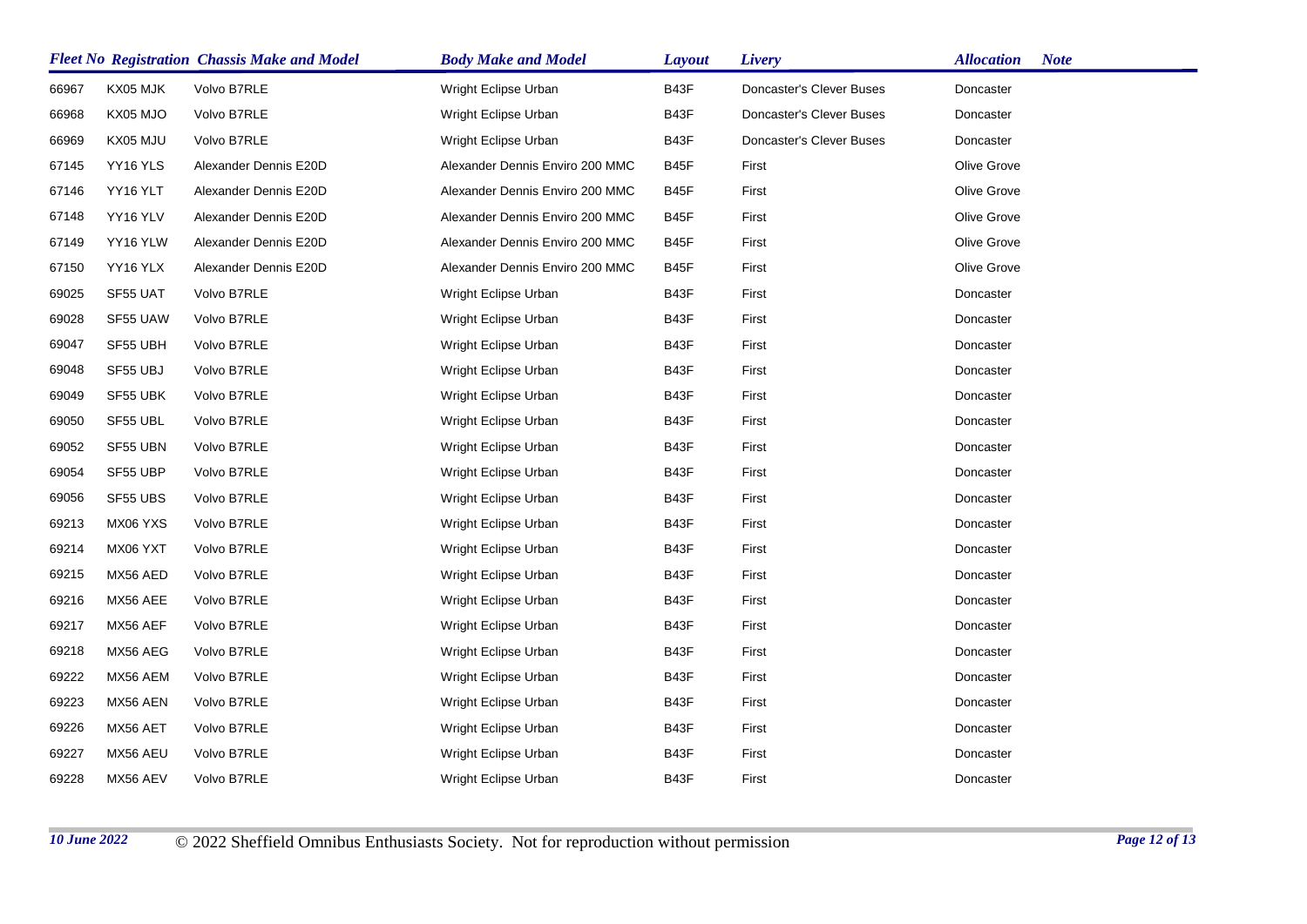|       | <b>Fleet No Registration Chassis Make and Model</b> |                       | <b>Body Make and Model</b>      | <b>Layout</b> | Livery                   | <b>Note</b><br><b>Allocation</b> |
|-------|-----------------------------------------------------|-----------------------|---------------------------------|---------------|--------------------------|----------------------------------|
| 66967 | KX05 MJK                                            | Volvo B7RLE           | Wright Eclipse Urban            | B43F          | Doncaster's Clever Buses | Doncaster                        |
| 66968 | KX05 MJO                                            | Volvo B7RLE           | Wright Eclipse Urban            | B43F          | Doncaster's Clever Buses | Doncaster                        |
| 66969 | KX05 MJU                                            | Volvo B7RLE           | Wright Eclipse Urban            | B43F          | Doncaster's Clever Buses | Doncaster                        |
| 67145 | YY16 YLS                                            | Alexander Dennis E20D | Alexander Dennis Enviro 200 MMC | B45F          | First                    | Olive Grove                      |
| 67146 | YY16 YLT                                            | Alexander Dennis E20D | Alexander Dennis Enviro 200 MMC | B45F          | First                    | Olive Grove                      |
| 67148 | YY16 YLV                                            | Alexander Dennis E20D | Alexander Dennis Enviro 200 MMC | B45F          | First                    | Olive Grove                      |
| 67149 | YY16 YLW                                            | Alexander Dennis E20D | Alexander Dennis Enviro 200 MMC | B45F          | First                    | Olive Grove                      |
| 67150 | YY16 YLX                                            | Alexander Dennis E20D | Alexander Dennis Enviro 200 MMC | B45F          | First                    | Olive Grove                      |
| 69025 | SF55 UAT                                            | Volvo B7RLE           | Wright Eclipse Urban            | B43F          | First                    | Doncaster                        |
| 69028 | SF55 UAW                                            | Volvo B7RLE           | Wright Eclipse Urban            | B43F          | First                    | Doncaster                        |
| 69047 | SF55 UBH                                            | Volvo B7RLE           | Wright Eclipse Urban            | B43F          | First                    | Doncaster                        |
| 69048 | SF55 UBJ                                            | Volvo B7RLE           | Wright Eclipse Urban            | B43F          | First                    | Doncaster                        |
| 69049 | SF55 UBK                                            | Volvo B7RLE           | Wright Eclipse Urban            | B43F          | First                    | Doncaster                        |
| 69050 | SF55 UBL                                            | Volvo B7RLE           | Wright Eclipse Urban            | B43F          | First                    | Doncaster                        |
| 69052 | SF55 UBN                                            | Volvo B7RLE           | Wright Eclipse Urban            | B43F          | First                    | Doncaster                        |
| 69054 | SF55 UBP                                            | Volvo B7RLE           | Wright Eclipse Urban            | B43F          | First                    | Doncaster                        |
| 69056 | SF55 UBS                                            | Volvo B7RLE           | Wright Eclipse Urban            | B43F          | First                    | Doncaster                        |
| 69213 | MX06 YXS                                            | Volvo B7RLE           | Wright Eclipse Urban            | B43F          | First                    | Doncaster                        |
| 69214 | MX06 YXT                                            | Volvo B7RLE           | Wright Eclipse Urban            | B43F          | First                    | Doncaster                        |
| 69215 | MX56 AED                                            | Volvo B7RLE           | Wright Eclipse Urban            | B43F          | First                    | Doncaster                        |
| 69216 | MX56 AEE                                            | Volvo B7RLE           | Wright Eclipse Urban            | B43F          | First                    | Doncaster                        |
| 69217 | MX56 AEF                                            | Volvo B7RLE           | Wright Eclipse Urban            | B43F          | First                    | Doncaster                        |
| 69218 | MX56 AEG                                            | Volvo B7RLE           | Wright Eclipse Urban            | B43F          | First                    | Doncaster                        |
| 69222 | MX56 AEM                                            | Volvo B7RLE           | Wright Eclipse Urban            | B43F          | First                    | Doncaster                        |
| 69223 | MX56 AEN                                            | Volvo B7RLE           | Wright Eclipse Urban            | B43F          | First                    | Doncaster                        |
| 69226 | MX56 AET                                            | Volvo B7RLE           | Wright Eclipse Urban            | B43F          | First                    | Doncaster                        |
| 69227 | MX56 AEU                                            | Volvo B7RLE           | Wright Eclipse Urban            | B43F          | First                    | Doncaster                        |
| 69228 | MX56 AEV                                            | Volvo B7RLE           | Wright Eclipse Urban            | B43F          | First                    | Doncaster                        |